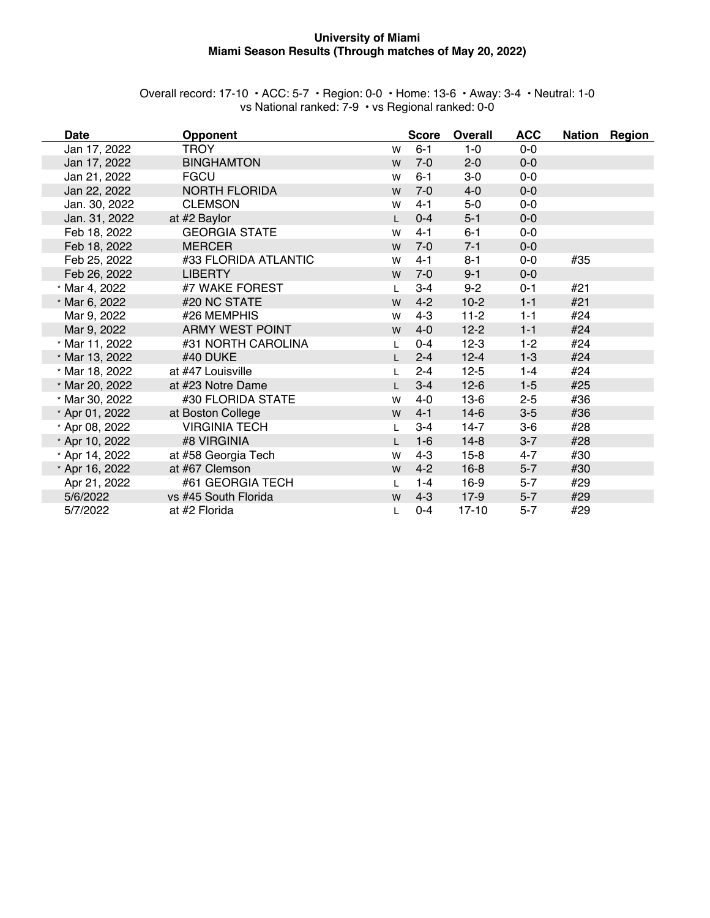#### **University of Miami Miami Season Results (Through matches of May 20, 2022)**

| Overall record: 17-10 $\cdot$ ACC: 5-7 $\cdot$ Region: 0-0 $\cdot$ Home: 13-6 $\cdot$ Away: 3-4 $\cdot$ Neutral: 1-0 |  |                                                   |  |
|----------------------------------------------------------------------------------------------------------------------|--|---------------------------------------------------|--|
|                                                                                                                      |  | vs National ranked: 7-9 • vs Regional ranked: 0-0 |  |

| <b>Date</b>    | <b>Opponent</b>        |              | <b>Score</b> | <b>Overall</b> | <b>ACC</b> |     | Nation Region |
|----------------|------------------------|--------------|--------------|----------------|------------|-----|---------------|
| Jan 17, 2022   | <b>TROY</b>            | W            | $6 - 1$      | $1-0$          | $0-0$      |     |               |
| Jan 17, 2022   | <b>BINGHAMTON</b>      | W            | $7 - 0$      | $2 - 0$        | $0-0$      |     |               |
| Jan 21, 2022   | <b>FGCU</b>            | W            | $6 - 1$      | $3-0$          | $0-0$      |     |               |
| Jan 22, 2022   | <b>NORTH FLORIDA</b>   | W            | $7 - 0$      | $4 - 0$        | $0-0$      |     |               |
| Jan. 30, 2022  | <b>CLEMSON</b>         | W            | $4 - 1$      | $5-0$          | $0-0$      |     |               |
| Jan. 31, 2022  | at #2 Baylor           | $\mathbf{L}$ | $0 - 4$      | $5 - 1$        | $0-0$      |     |               |
| Feb 18, 2022   | <b>GEORGIA STATE</b>   | W            | $4 - 1$      | $6 - 1$        | $0-0$      |     |               |
| Feb 18, 2022   | <b>MERCER</b>          | W            | $7-0$        | $7 - 1$        | $0-0$      |     |               |
| Feb 25, 2022   | #33 FLORIDA ATLANTIC   | W            | $4 - 1$      | $8 - 1$        | $0-0$      | #35 |               |
| Feb 26, 2022   | <b>LIBERTY</b>         | W            | $7-0$        | $9 - 1$        | $0-0$      |     |               |
| * Mar 4, 2022  | #7 WAKE FOREST         | L            | $3-4$        | $9 - 2$        | $0 - 1$    | #21 |               |
| * Mar 6, 2022  | #20 NC STATE           | W            | $4 - 2$      | $10-2$         | $1 - 1$    | #21 |               |
| Mar 9, 2022    | #26 MEMPHIS            | W            | $4 - 3$      | $11-2$         | $1 - 1$    | #24 |               |
| Mar 9, 2022    | <b>ARMY WEST POINT</b> | W            | $4 - 0$      | $12 - 2$       | $1 - 1$    | #24 |               |
| * Mar 11, 2022 | #31 NORTH CAROLINA     | L            | $0 - 4$      | $12-3$         | $1 - 2$    | #24 |               |
| * Mar 13, 2022 | #40 DUKE               | L.           | $2 - 4$      | $12 - 4$       | $1 - 3$    | #24 |               |
| * Mar 18, 2022 | at #47 Louisville      | L            | $2 - 4$      | $12 - 5$       | $1 - 4$    | #24 |               |
| * Mar 20, 2022 | at #23 Notre Dame      | $\mathsf{L}$ | $3 - 4$      | $12-6$         | $1 - 5$    | #25 |               |
| * Mar 30, 2022 | #30 FLORIDA STATE      | W            | $4 - 0$      | $13-6$         | $2 - 5$    | #36 |               |
| * Apr 01, 2022 | at Boston College      | W            | $4 - 1$      | $14-6$         | $3-5$      | #36 |               |
| * Apr 08, 2022 | <b>VIRGINIA TECH</b>   | L            | $3 - 4$      | $14-7$         | $3-6$      | #28 |               |
| * Apr 10, 2022 | #8 VIRGINIA            | L.           | $1-6$        | $14-8$         | $3 - 7$    | #28 |               |
| * Apr 14, 2022 | at #58 Georgia Tech    | W            | $4 - 3$      | $15 - 8$       | $4 - 7$    | #30 |               |
| * Apr 16, 2022 | at #67 Clemson         | W            | $4 - 2$      | $16 - 8$       | $5 - 7$    | #30 |               |
| Apr 21, 2022   | #61 GEORGIA TECH       | L            | $1 - 4$      | $16-9$         | $5 - 7$    | #29 |               |
| 5/6/2022       | vs #45 South Florida   | W            | $4 - 3$      | $17-9$         | $5 - 7$    | #29 |               |
| 5/7/2022       | at #2 Florida          |              | $0 - 4$      | $17 - 10$      | $5 - 7$    | #29 |               |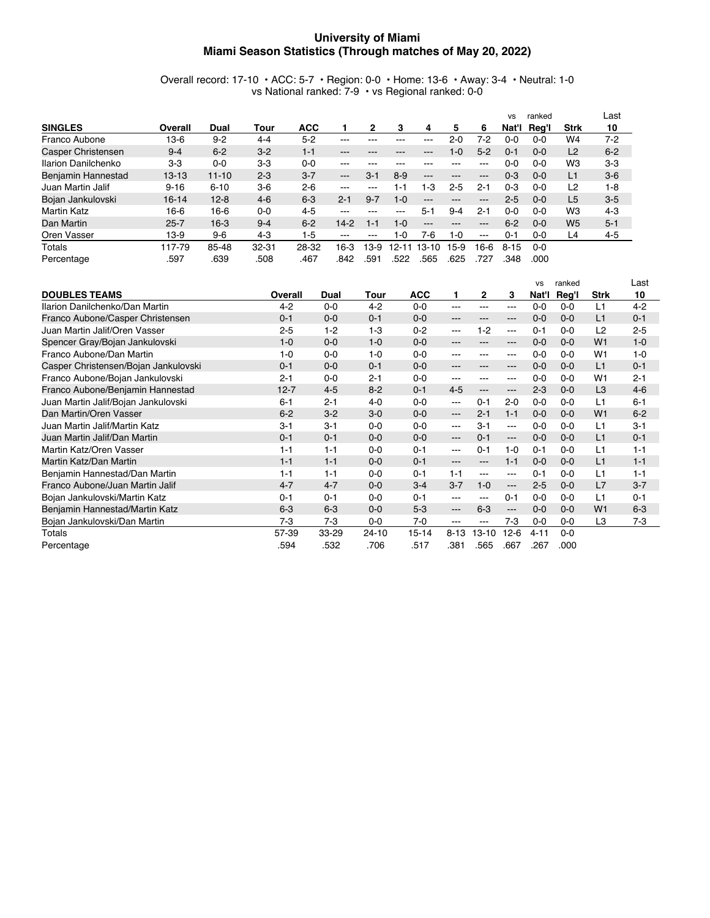#### **University of Miami Miami Season Statistics (Through matches of May 20, 2022)**

Overall record: 17-10 • ACC: 5-7 • Region: 0-0 • Home: 13-6 • Away: 3-4 • Neutral: 1-0 vs National ranked: 7-9 • vs Regional ranked: 0-0

|                     |           |           |           |            |         |         |           |                   |         |                                                                                                | <b>VS</b> | ranked  |                | Last    |
|---------------------|-----------|-----------|-----------|------------|---------|---------|-----------|-------------------|---------|------------------------------------------------------------------------------------------------|-----------|---------|----------------|---------|
| <b>SINGLES</b>      | Overall   | Dual      | Tour      | <b>ACC</b> |         | 2       | з         | 4                 | 5       | 6                                                                                              | Nat'l     | Rea'l   | <b>Strk</b>    | 10      |
| Franco Aubone       | 13-6      | $9 - 2$   | $4 - 4$   | $5 - 2$    | ---     |         |           | ---               | $2 - 0$ | 7-2                                                                                            | 0-0       | $0 - 0$ | W4             | $7-2$   |
| Casper Christensen  | $9 - 4$   | $6 - 2$   | $3-2$     | $1 - 1$    | ---     | ---     | ---       | ---               | 1-0     | $5 - 2$                                                                                        | 0-1       | $0 - 0$ | L2             | $6 - 2$ |
| Ilarion Danilchenko | $3-3$     | $0 - 0$   | $3-3$     | $0 - 0$    | ---     | ---     | ---       | ---               | ---     | $- - -$                                                                                        | 0-0       | $0 - 0$ | W <sub>3</sub> | $3-3$   |
| Benjamin Hannestad  | $13 - 13$ | $11 - 10$ | $2-3$     | $3 - 7$    | $---$   | $3-1$   | $8-9$     | $\cdots$          | ---     | $\qquad \qquad -$                                                                              | $0 - 3$   | $0 - 0$ | L1             | $3-6$   |
| Juan Martin Jalif   | $9 - 16$  | $6 - 10$  | $3-6$     | $2-6$      | ---     | ---     | 1-1       | l-3               | $2-5$   | $2 - 1$                                                                                        | $0 - 3$   | $0 - 0$ | L <sub>2</sub> | $1-8$   |
| Bojan Jankulovski   | $16 - 14$ | $12 - 8$  | $4-6$     | $6-3$      | $2 - 1$ | $9 - 7$ | $1 - 0$   | $\qquad \qquad -$ | ---     | ---                                                                                            | $2 - 5$   | $0 - 0$ | L <sub>5</sub> | $3-5$   |
| <b>Martin Katz</b>  | 16-6      | $16-6$    | $0 - 0$   | $4 - 5$    | ---     | ---     | ---       | $5 - 1$           | $9 - 4$ | $2 - 1$                                                                                        | 0-0       | $0 - 0$ | W <sub>3</sub> | $4-3$   |
| Dan Martin          | $25 - 7$  | $16-3$    | $9 - 4$   | $6 - 2$    | $14-2$  | $1 - 1$ | $1 - 0$   | $\qquad \qquad -$ | ---     | ---                                                                                            | $6 - 2$   | $0 - 0$ | W <sub>5</sub> | $5 - 1$ |
| Oren Vasser         | 13-9      | $9-6$     | $4-3$     | $1 - 5$    | ---     | $-- -$  | 1-0       | 7-6               | 1-0     | $\frac{1}{2} \left( \frac{1}{2} \right) \left( \frac{1}{2} \right) \left( \frac{1}{2} \right)$ | $0 - 1$   | $0 - 0$ | L4             | $4 - 5$ |
| Totals              | 117-79    | 85-48     | $32 - 31$ | 28-32      | 16-3    | 13-9    | $12 - 11$ | $13 - 10$         | $15-9$  | 16-6                                                                                           | $8 - 15$  | $0 - 0$ |                |         |
| Percentage          | .597      | .639      | .508      | .467       | .842    | .591    | .522      | .565              | .625    | .727                                                                                           | .348      | .000    |                |         |

|                                      |          |         |           |            |          |                        |                   | <b>VS</b> | ranked  |                | Last    |
|--------------------------------------|----------|---------|-----------|------------|----------|------------------------|-------------------|-----------|---------|----------------|---------|
| <b>DOUBLES TEAMS</b>                 | Overall  | Dual    | Tour      | <b>ACC</b> | 1.       | 2                      | 3                 | Nat'l     | Req'l   | <b>Strk</b>    | 10      |
| Ilarion Danilchenko/Dan Martin       | $4 - 2$  | $0 - 0$ | $4-2$     | $0 - 0$    | ---      | $---$                  | ---               | $0 - 0$   | $0 - 0$ | L1             | $4 - 2$ |
| Franco Aubone/Casper Christensen     | $0 - 1$  | $0 - 0$ | $0 - 1$   | $0-0$      | ---      | $- - -$                | $\qquad \qquad -$ | $0 - 0$   | $0 - 0$ | L1             | $0 - 1$ |
| Juan Martin Jalif/Oren Vasser        | $2 - 5$  | $1 - 2$ | $1-3$     | $0 - 2$    | ---      | $1-2$                  | $---$             | $0 - 1$   | $0 - 0$ | L <sub>2</sub> | $2 - 5$ |
| Spencer Gray/Bojan Jankulovski       | $1 - 0$  | $0 - 0$ | $1 - 0$   | $0 - 0$    | ---      | $\frac{1}{2}$          | $---$             | $0 - 0$   | $0 - 0$ | W <sub>1</sub> | $1 - 0$ |
| Franco Aubone/Dan Martin             | $1 - 0$  | $0 - 0$ | $1 - 0$   | $0 - 0$    | ---      | $- - -$                | ---               | $0 - 0$   | $0 - 0$ | W <sub>1</sub> | $1 - 0$ |
| Casper Christensen/Bojan Jankulovski | $0 - 1$  | $0 - 0$ | $0 - 1$   | $0 - 0$    | ---      | $- - -$                | ---               | $0 - 0$   | $0 - 0$ | L1             | $0 - 1$ |
| Franco Aubone/Bojan Jankulovski      | $2 - 1$  | $0 - 0$ | $2 - 1$   | $0 - 0$    | ---      | $\frac{1}{2}$          | $--$              | $0 - 0$   | $0 - 0$ | W <sub>1</sub> | $2 - 1$ |
| Franco Aubone/Benjamin Hannestad     | $12 - 7$ | $4-5$   | $8 - 2$   | $0 - 1$    | $4 - 5$  | $\qquad \qquad -$      | $---$             | $2-3$     | $0 - 0$ | L <sub>3</sub> | $4-6$   |
| Juan Martin Jalif/Bojan Jankulovski  | $6 - 1$  | $2 - 1$ | $4 - 0$   | $0 - 0$    | $---$    | $0 - 1$                | $2 - 0$           | $0-0$     | $0 - 0$ | L1             | $6-1$   |
| Dan Martin/Oren Vasser               | $6 - 2$  | $3 - 2$ | $3-0$     | $0 - 0$    | $---$    | $2 - 1$                | $1 - 1$           | $0 - 0$   | $0 - 0$ | W <sub>1</sub> | $6 - 2$ |
| Juan Martin Jalif/Martin Katz        | $3-1$    | $3 - 1$ | $0-0$     | $0 - 0$    | $---$    | $3 - 1$                | $---$             | $0 - 0$   | $0 - 0$ | L1             | $3 - 1$ |
| Juan Martin Jalif/Dan Martin         | $0 - 1$  | $0 - 1$ | $0 - 0$   | $0 - 0$    | $---$    | $0 - 1$                | $---$             | $0 - 0$   | $0 - 0$ | L1             | $0 - 1$ |
| Martin Katz/Oren Vasser              | $1 - 1$  | $1 - 1$ | $0 - 0$   | $0 - 1$    | ---      | $0 - 1$                | $1 - 0$           | $0 - 1$   | $0 - 0$ | L1             | $1 - 1$ |
| Martin Katz/Dan Martin               | $1 - 1$  | $1 - 1$ | $0 - 0$   | $0 - 1$    | ---      | $\qquad \qquad -$      | $1 - 1$           | $0 - 0$   | $0 - 0$ | L1             | $1 - 1$ |
| Benjamin Hannestad/Dan Martin        | $1 - 1$  | $1 - 1$ | $0 - 0$   | $0 - 1$    | $1 - 1$  | $---$                  | $---$             | $0 - 1$   | $0 - 0$ | L1             | $1 - 1$ |
| Franco Aubone/Juan Martin Jalif      | $4 - 7$  | $4 - 7$ | $0 - 0$   | $3 - 4$    | $3 - 7$  | $1 - 0$                | $---$             | $2 - 5$   | $0 - 0$ | L7             | $3 - 7$ |
| Bojan Jankulovski/Martin Katz        | $0 - 1$  | $0 - 1$ | $0 - 0$   | $0 - 1$    | ---      | $\qquad \qquad \cdots$ | $0 - 1$           | $0 - 0$   | $0 - 0$ | L1             | $0 - 1$ |
| Benjamin Hannestad/Martin Katz       | $6 - 3$  | $6-3$   | $0 - 0$   | $5-3$      | ---      | $6-3$                  | $---$             | $0 - 0$   | $0 - 0$ | W <sub>1</sub> | $6-3$   |
| Bojan Jankulovski/Dan Martin         | $7-3$    | $7-3$   | $0-0$     | $7 - 0$    | ---      | $\frac{1}{2}$          | $7-3$             | $0 - 0$   | $0 - 0$ | L <sub>3</sub> | 7-3     |
| Totals                               | 57-39    | 33-29   | $24 - 10$ | $15 - 14$  | $8 - 13$ | $13 - 10$              | $12-6$            | $4 - 11$  | $0 - 0$ |                |         |
| Percentage                           | .594     | .532    | .706      | .517       | .381     | .565                   | .667              | .267      | .000    |                |         |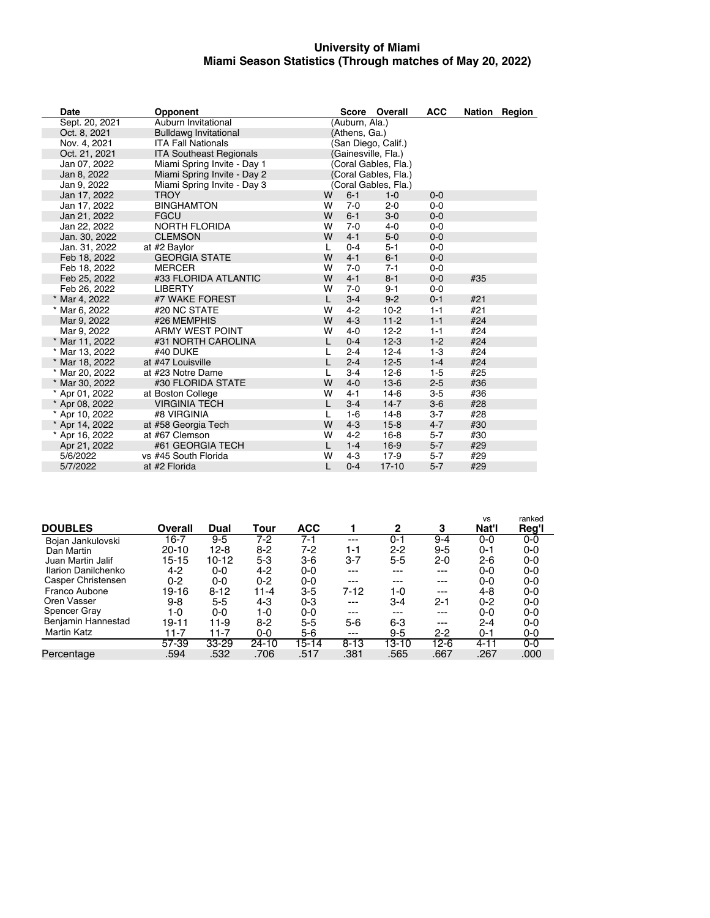#### **University of Miami Miami Season Statistics (Through matches of May 20, 2022)**

| Date           | <b>Opponent</b>                |              |                | Score Overall        | <b>ACC</b> |     | Nation Region |
|----------------|--------------------------------|--------------|----------------|----------------------|------------|-----|---------------|
| Sept. 20, 2021 | Auburn Invitational            |              | (Auburn, Ala.) |                      |            |     |               |
| Oct. 8, 2021   | <b>Bulldawg Invitational</b>   |              | (Athens, Ga.)  |                      |            |     |               |
| Nov. 4, 2021   | <b>ITA Fall Nationals</b>      |              |                | (San Diego, Calif.)  |            |     |               |
| Oct. 21, 2021  | <b>ITA Southeast Regionals</b> |              |                | (Gainesville, Fla.)  |            |     |               |
| Jan 07, 2022   | Miami Spring Invite - Day 1    |              |                | (Coral Gables, Fla.) |            |     |               |
| Jan 8, 2022    | Miami Spring Invite - Day 2    |              |                | (Coral Gables, Fla.) |            |     |               |
| Jan 9, 2022    | Miami Spring Invite - Day 3    |              |                | (Coral Gables, Fla.) |            |     |               |
| Jan 17, 2022   | <b>TROY</b>                    | W            | $6 - 1$        | $1 - 0$              | $0 - 0$    |     |               |
| Jan 17, 2022   | <b>BINGHAMTON</b>              | W            | $7 - 0$        | $2 - 0$              | $0 - 0$    |     |               |
| Jan 21, 2022   | <b>FGCU</b>                    | W            | $6-1$          | $3-0$                | $0 - 0$    |     |               |
| Jan 22, 2022   | <b>NORTH FLORIDA</b>           | w            | $7 - 0$        | $4 - 0$              | $0 - 0$    |     |               |
| Jan. 30, 2022  | <b>CLEMSON</b>                 | W            | $4 - 1$        | $5-0$                | $0 - 0$    |     |               |
| Jan. 31, 2022  | at #2 Baylor                   | L            | $0 - 4$        | $5 - 1$              | $0 - 0$    |     |               |
| Feb 18, 2022   | <b>GEORGIA STATE</b>           | W            | $4 - 1$        | $6-1$                | $0 - 0$    |     |               |
| Feb 18, 2022   | <b>MERCER</b>                  | w            | $7 - 0$        | $7 - 1$              | $0 - 0$    |     |               |
| Feb 25, 2022   | #33 FLORIDA ATLANTIC           | W            | $4 - 1$        | $8 - 1$              | $0 - 0$    | #35 |               |
| Feb 26, 2022   | <b>LIBERTY</b>                 | W            | $7 - 0$        | $9 - 1$              | $0-0$      |     |               |
| * Mar 4, 2022  | #7 WAKE FOREST                 | L            | $3-4$          | $9 - 2$              | $0 - 1$    | #21 |               |
| * Mar 6, 2022  | #20 NC STATE                   | W            | $4 - 2$        | $10-2$               | $1 - 1$    | #21 |               |
| Mar 9, 2022    | #26 MEMPHIS                    | W            | $4 - 3$        | $11-2$               | $1 - 1$    | #24 |               |
| Mar 9, 2022    | <b>ARMY WEST POINT</b>         | W            | $4 - 0$        | $12 - 2$             | $1 - 1$    | #24 |               |
| * Mar 11, 2022 | #31 NORTH CAROLINA             | L            | $0 - 4$        | $12-3$               | $1 - 2$    | #24 |               |
| * Mar 13, 2022 | #40 DUKE                       | $\mathbf{L}$ | $2 - 4$        | $12 - 4$             | $1-3$      | #24 |               |
| * Mar 18, 2022 | at #47 Louisville              |              | $2 - 4$        | $12 - 5$             | $1 - 4$    | #24 |               |
| * Mar 20, 2022 | at #23 Notre Dame              | L            | $3-4$          | $12-6$               | $1-5$      | #25 |               |
| * Mar 30, 2022 | #30 FLORIDA STATE              | W            | $4 - 0$        | $13-6$               | $2-5$      | #36 |               |
| * Apr 01, 2022 | at Boston College              | W            | $4 - 1$        | $14-6$               | $3-5$      | #36 |               |
| * Apr 08, 2022 | <b>VIRGINIA TECH</b>           | L            | $3-4$          | $14 - 7$             | $3-6$      | #28 |               |
| * Apr 10, 2022 | #8 VIRGINIA                    | L            | $1-6$          | $14-8$               | $3 - 7$    | #28 |               |
| * Apr 14, 2022 | at #58 Georgia Tech            | W            | $4 - 3$        | $15 - 8$             | $4 - 7$    | #30 |               |
| * Apr 16, 2022 | at #67 Clemson                 | w            | $4 - 2$        | $16 - 8$             | $5 - 7$    | #30 |               |
| Apr 21, 2022   | #61 GEORGIA TECH               | L            | $1 - 4$        | $16-9$               | $5 - 7$    | #29 |               |
| 5/6/2022       | vs #45 South Florida           | W            | $4 - 3$        | $17-9$               | $5 - 7$    | #29 |               |
| 5/7/2022       | at #2 Florida                  | L            | $0 - 4$        | $17 - 10$            | $5 - 7$    | #29 |               |

|                     |         |           |         |            |          |         |         | vs      | ranked |
|---------------------|---------|-----------|---------|------------|----------|---------|---------|---------|--------|
| <b>DOUBLES</b>      | Overall | Dual      | Tour    | <b>ACC</b> |          | 2       | 3       | Nat'l   | Reg'l  |
| Bojan Jankulovski   | 16-7    | $9 - 5$   | 7-2     | $7 - 1$    | ---      | $0 - 1$ | $9 - 4$ | $0-0$   | $0-0$  |
| Dan Martin          | 20-10   | 12-8      | $8-2$   | $7-2$      | 1-1      | $2 - 2$ | $9 - 5$ | $0 - 1$ | $0-0$  |
| Juan Martin Jalif   | 15-15   | $10 - 12$ | $5 - 3$ | $3-6$      | 3-7      | $5 - 5$ | 2-0     | $2 - 6$ | $0-0$  |
| Ilarion Danilchenko | $4-2$   | $0-0$     | $4 - 2$ | 0-0        | $---$    | ---     | $---$   | 0-0     | $0-0$  |
| Casper Christensen  | 0-2     | 0-0       | $0 - 2$ | $0-0$      | $---$    | ---     | ---     | 0-0     | 0-0    |
| Franco Aubone       | 19-16   | $8 - 12$  | 11-4    | $3 - 5$    | $7-12$   | 1-0     | ---     | $4 - 8$ | $0-0$  |
| Oren Vasser         | $9 - 8$ | $5 - 5$   | 4-3     | $0 - 3$    | $---$    | $3 - 4$ | $2 - 1$ | $0 - 2$ | 0-0    |
| Spencer Gray        | 1-0     | 0-0       | 1-0     | $0-0$      | $---$    | ---     | $---$   | 0-0     | $0-0$  |
| Benjamin Hannestad  | 19-11   | $11 - 9$  | $8 - 2$ | $5 - 5$    | $5 - 6$  | $6 - 3$ | ---     | $2 - 4$ | $0-0$  |
| Martin Katz         | 11-7    | 11-7      | $0 - 0$ | $5-6$      | $---$    | $9 - 5$ | 2-2     | $0 - 1$ | $0-0$  |
|                     | 57-39   | $33 - 29$ | 24-10   | $15 - 14$  | $8 - 13$ | 13-10   | $12-6$  | 4-11    | $0-0$  |
| Percentage          | .594    | .532      | .706    | .517       | .381     | .565    | .667    | .267    | .000   |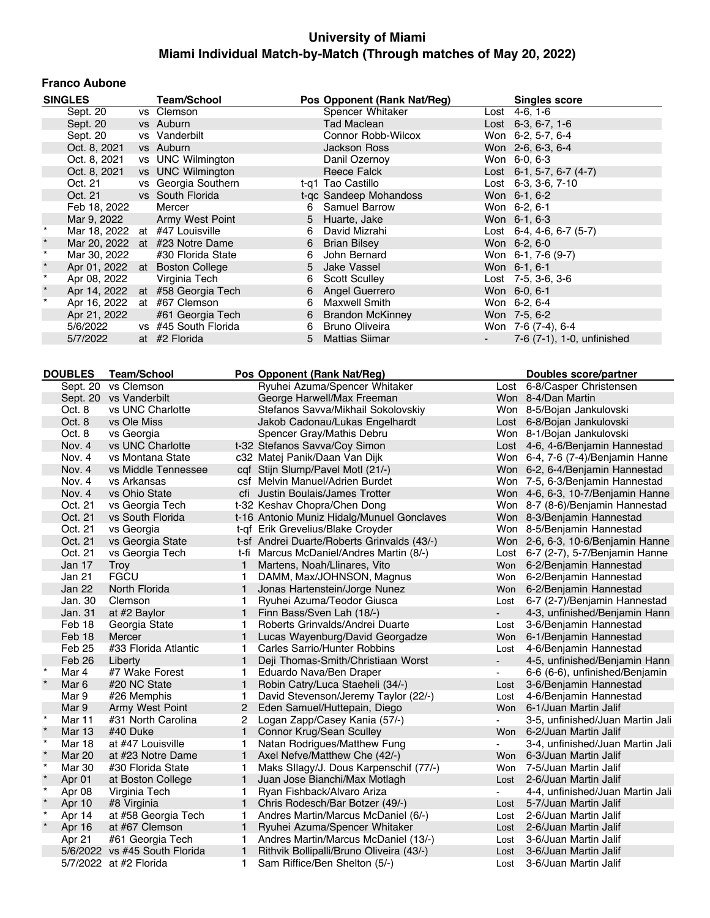#### **Franco Aubone**

|          | <b>SINGLES</b>              | <b>Team/School</b>               |   | Pos Opponent (Rank Nat/Reg) | <b>Singles score</b>               |
|----------|-----------------------------|----------------------------------|---|-----------------------------|------------------------------------|
|          | Sept. 20                    | vs Clemson                       |   | Spencer Whitaker            | Lost 4-6, 1-6                      |
|          | Sept. 20                    | vs Auburn                        |   | Tad Maclean                 | Lost $6-3, 6-7, 1-6$               |
|          | Sept. 20                    | vs Vanderbilt                    |   | Connor Robb-Wilcox          | Won 6-2, 5-7, 6-4                  |
|          | Oct. 8, 2021                | vs Auburn                        |   | Jackson Ross                | Won 2-6, 6-3, 6-4                  |
|          | Oct. 8, 2021                | vs UNC Wilmington                |   | Danil Ozernov               | Won 6-0, 6-3                       |
|          | Oct. 8, 2021                | vs UNC Wilmington                |   | Reece Falck                 | Lost 6-1, 5-7, 6-7 (4-7)           |
|          | Oct. 21                     | vs Georgia Southern              |   | t-g1 Tao Castillo           | Lost 6-3, 3-6, 7-10                |
|          |                             | Oct. 21 vs South Florida         |   | t-gc Sandeep Mohandoss      | Won 6-1, 6-2                       |
|          | Feb 18, 2022                | Mercer                           |   | 6 Samuel Barrow             | Won 6-2, 6-1                       |
|          |                             | Mar 9, 2022 Army West Point      |   | 5 Huarte, Jake              | Won 6-1, 6-3                       |
|          |                             | Mar 18, 2022 at #47 Louisville   | 6 | David Mizrahi               | Lost $6-4$ , $4-6$ , $6-7$ $(5-7)$ |
| $^\star$ |                             | Mar 20, 2022 at #23 Notre Dame   |   | 6 Brian Bilsey              | Won 6-2, 6-0                       |
| $\star$  | Mar 30, 2022                | #30 Florida State                | 6 | John Bernard                | Won 6-1, 7-6 (9-7)                 |
| $^\star$ |                             | Apr 01, 2022 at Boston College   |   | 5 Jake Vassel               | Won 6-1, 6-1                       |
| $\star$  | Apr 08, 2022                | Virginia Tech                    | 6 | <b>Scott Sculley</b>        | Lost $7-5$ , $3-6$ , $3-6$         |
| $\star$  |                             | Apr 14, 2022 at #58 Georgia Tech |   | 6 Angel Guerrero            | Won 6-0, 6-1                       |
| $\star$  | Apr 16, 2022 at #67 Clemson |                                  | 6 | Maxwell Smith               | Won 6-2, 6-4                       |
|          | Apr 21, 2022                | #61 Georgia Tech                 |   | 6 Brandon McKinney          | Won 7-5, 6-2                       |
|          | 5/6/2022                    | vs #45 South Florida             | 6 | Bruno Oliveira              | Won 7-6 (7-4), 6-4                 |
|          | 5/7/2022                    | at #2 Florida                    |   | 5 Mattias Siimar            | 7-6 (7-1), 1-0, unfinished         |
|          |                             |                                  |   |                             |                                    |

|         | <b>DOUBLES</b> | <b>Team/School</b>            |                | Pos Opponent (Rank Nat/Reg)                 |                | Doubles score/partner              |
|---------|----------------|-------------------------------|----------------|---------------------------------------------|----------------|------------------------------------|
|         | Sept. 20       | vs Clemson                    |                | Ryuhei Azuma/Spencer Whitaker               |                | Lost 6-8/Casper Christensen        |
|         | Sept. 20       | vs Vanderbilt                 |                | George Harwell/Max Freeman                  |                | Won 8-4/Dan Martin                 |
|         | Oct. 8         | vs UNC Charlotte              |                | Stefanos Savva/Mikhail Sokolovskiy          |                | Won 8-5/Bojan Jankulovski          |
|         | Oct. 8         | vs Ole Miss                   |                | Jakob Cadonau/Lukas Engelhardt              |                | Lost 6-8/Bojan Jankulovski         |
|         | Oct. 8         | vs Georgia                    |                | Spencer Gray/Mathis Debru                   |                | Won 8-1/Bojan Jankulovski          |
|         | Nov. 4         | vs UNC Charlotte              |                | t-32 Stefanos Savva/Coy Simon               |                | Lost 4-6, 4-6/Benjamin Hannestad   |
|         | Nov. 4         | vs Montana State              |                | c32 Matej Panik/Daan Van Dijk               |                | Won 6-4, 7-6 (7-4)/Benjamin Hanne  |
|         | Nov. 4         | vs Middle Tennessee           |                | cqf Stijn Slump/Pavel Motl (21/-)           |                | Won 6-2, 6-4/Benjamin Hannestad    |
|         | Nov. 4         | vs Arkansas                   |                | csf Melvin Manuel/Adrien Burdet             |                | Won 7-5, 6-3/Benjamin Hannestad    |
|         | Nov. 4         | vs Ohio State                 |                | cfi Justin Boulais/James Trotter            |                | Won 4-6, 6-3, 10-7/Benjamin Hanne  |
|         | Oct. 21        | vs Georgia Tech               |                | t-32 Keshav Chopra/Chen Dong                |                | Won 8-7 (8-6)/Benjamin Hannestad   |
|         | Oct. 21        | vs South Florida              |                | t-16 Antonio Muniz Hidalg/Munuel Gonclaves  |                | Won 8-3/Benjamin Hannestad         |
|         | Oct. 21        | vs Georgia                    |                | t-qf Erik Grevelius/Blake Croyder           |                | Won 8-5/Benjamin Hannestad         |
|         | Oct. 21        | vs Georgia State              |                | t-sf Andrei Duarte/Roberts Grinvalds (43/-) |                | Won 2-6, 6-3, 10-6/Benjamin Hanne  |
|         | Oct. 21        | vs Georgia Tech               |                | t-fi Marcus McDaniel/Andres Martin (8/-)    |                | Lost 6-7 (2-7), 5-7/Benjamin Hanne |
|         | Jan 17         | Troy                          | 1              | Martens, Noah/Llinares, Vito                | Won            | 6-2/Benjamin Hannestad             |
|         | Jan 21         | <b>FGCU</b>                   | 1              | DAMM, Max/JOHNSON, Magnus                   | Won            | 6-2/Benjamin Hannestad             |
|         | Jan 22         | North Florida                 | 1              | Jonas Hartenstein/Jorge Nunez               | Won            | 6-2/Benjamin Hannestad             |
|         | Jan. 30        | Clemson                       | 1              | Ryuhei Azuma/Teodor Giusca                  | Lost           | 6-7 (2-7)/Benjamin Hannestad       |
|         | Jan. 31        | at #2 Baylor                  | 1.             | Finn Bass/Sven Lah (18/-)                   |                | 4-3, unfinished/Benjamin Hann      |
|         | Feb 18         | Georgia State                 |                | Roberts Grinvalds/Andrei Duarte             | Lost           | 3-6/Benjamin Hannestad             |
|         | Feb 18         | <b>Mercer</b>                 |                | Lucas Wayenburg/David Georgadze             | Won            | 6-1/Benjamin Hannestad             |
|         | Feb 25         | #33 Florida Atlantic          | 1              | Carles Sarrio/Hunter Robbins                | Lost           | 4-6/Benjamin Hannestad             |
|         | Feb 26         | Liberty                       | $\mathbf{1}$   | Deji Thomas-Smith/Christiaan Worst          |                | 4-5, unfinished/Benjamin Hann      |
| $\star$ | Mar 4          | #7 Wake Forest                |                | Eduardo Nava/Ben Draper                     | $\blacksquare$ | 6-6 (6-6), unfinished/Benjamin     |
|         | Mar 6          | #20 NC State                  | 1              | Robin Catry/Luca Staeheli (34/-)            | Lost           | 3-6/Benjamin Hannestad             |
|         | Mar 9          | #26 Memphis                   | 1              | David Stevenson/Jeremy Taylor (22/-)        | Lost           | 4-6/Benjamin Hannestad             |
|         | Mar 9          | Army West Point               | $\overline{2}$ | Eden Samuel/Huttepain, Diego                | Won            | 6-1/Juan Martin Jalif              |
| $\star$ | Mar 11         | #31 North Carolina            | 2              | Logan Zapp/Casey Kania (57/-)               | цÚ.            | 3-5, unfinished/Juan Martin Jali   |
| $\star$ | <b>Mar 13</b>  | #40 Duke                      | 1              | Connor Krug/Sean Sculley                    | Won            | 6-2/Juan Martin Jalif              |
| $\star$ | Mar 18         | at #47 Louisville             |                | Natan Rodrigues/Matthew Fung                |                | 3-4, unfinished/Juan Martin Jali   |
| $\star$ | <b>Mar 20</b>  | at #23 Notre Dame             | $\mathbf{1}$   | Axel Nefve/Matthew Che (42/-)               | Won            | 6-3/Juan Martin Jalif              |
| $\star$ | <b>Mar 30</b>  | #30 Florida State             | 1              | Maks Sllagy/J. Dous Karpenschif (77/-)      | Won            | 7-5/Juan Martin Jalif              |
|         | Apr 01         | at Boston College             | 1.             | Juan Jose Bianchi/Max Motlagh               | Lost           | 2-6/Juan Martin Jalif              |
| $\star$ | Apr 08         | Virginia Tech                 | 1              | Ryan Fishback/Alvaro Ariza                  |                | 4-4, unfinished/Juan Martin Jali   |
|         | Apr 10         | #8 Virginia                   | $\mathbf{1}$   | Chris Rodesch/Bar Botzer (49/-)             | Lost           | 5-7/Juan Martin Jalif              |
| $\star$ | Apr 14         | at #58 Georgia Tech           | 1              | Andres Martin/Marcus McDaniel (6/-)         | Lost           | 2-6/Juan Martin Jalif              |
| $\star$ | Apr 16         | at #67 Clemson                | 1              | Ryuhei Azuma/Spencer Whitaker               | Lost           | 2-6/Juan Martin Jalif              |
|         | Apr 21         | #61 Georgia Tech              |                | Andres Martin/Marcus McDaniel (13/-)        | Lost           | 3-6/Juan Martin Jalif              |
|         |                | 5/6/2022 vs #45 South Florida |                | Rithvik Bollipalli/Bruno Oliveira (43/-)    | Lost           | 3-6/Juan Martin Jalif              |
|         |                | 5/7/2022 at #2 Florida        | 1.             | Sam Riffice/Ben Shelton (5/-)               | Lost           | 3-6/Juan Martin Jalif              |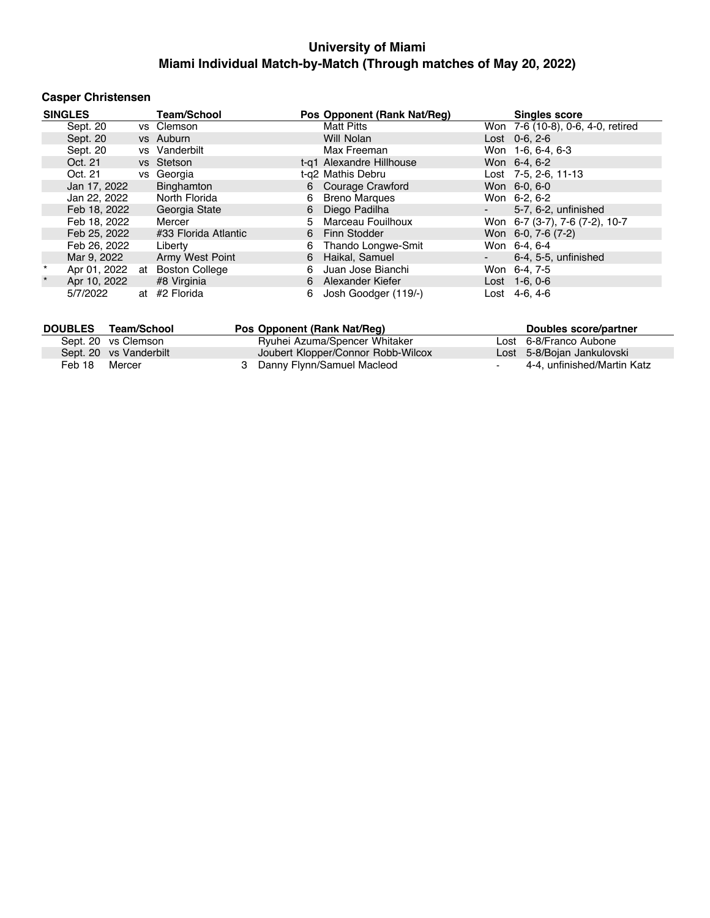## **Casper Christensen**

|         | <b>SINGLES</b> |    | <b>Team/School</b>    |   | Pos Opponent (Rank Nat/Req) |                          | <b>Singles score</b>              |
|---------|----------------|----|-----------------------|---|-----------------------------|--------------------------|-----------------------------------|
|         | Sept. 20       |    | vs Clemson            |   | <b>Matt Pitts</b>           |                          | Won 7-6 (10-8), 0-6, 4-0, retired |
|         | Sept. 20       |    | vs Auburn             |   | Will Nolan                  |                          | Lost $0-6.2-6$                    |
|         | Sept. 20       |    | vs Vanderbilt         |   | Max Freeman                 |                          | Won 1-6, 6-4, 6-3                 |
|         | Oct. 21        |    | vs Stetson            |   | t-g1 Alexandre Hillhouse    |                          | Won 6-4, 6-2                      |
|         | Oct. 21        |    | vs Georgia            |   | t-g2 Mathis Debru           |                          | Lost 7-5, 2-6, 11-13              |
|         | Jan 17, 2022   |    | Binghamton            |   | 6 Courage Crawford          |                          | Won 6-0, 6-0                      |
|         | Jan 22, 2022   |    | North Florida         | 6 | <b>Breno Margues</b>        |                          | Won 6-2, 6-2                      |
|         | Feb 18, 2022   |    | Georgia State         | 6 | Diego Padilha               | $\sim$                   | 5-7, 6-2, unfinished              |
|         | Feb 18, 2022   |    | Mercer                |   | 5 Marceau Fouilhoux         |                          | Won 6-7 (3-7), 7-6 (7-2), 10-7    |
|         | Feb 25, 2022   |    | #33 Florida Atlantic  |   | 6 Finn Stodder              |                          | Won 6-0, 7-6 (7-2)                |
|         | Feb 26, 2022   |    | Liberty               | 6 | Thando Longwe-Smit          |                          | Won 6-4, 6-4                      |
|         | Mar 9, 2022    |    | Army West Point       | 6 | Haikal, Samuel              | $\overline{\phantom{a}}$ | 6-4, 5-5, unfinished              |
| $\star$ | Apr 01, 2022   | at | <b>Boston College</b> | 6 | Juan Jose Bianchi           |                          | Won 6-4, 7-5                      |
| $\star$ | Apr 10, 2022   |    | #8 Virginia           |   | 6 Alexander Kiefer          |                          | Lost 1-6, 0-6                     |
|         | 5/7/2022       |    | at #2 Florida         | 6 | Josh Goodger (119/-)        |                          | Lost 4-6, 4-6                     |

| <b>DOUBLES</b> | Team/School            | Pos Opponent (Rank Nat/Req)        | Doubles score/partner       |
|----------------|------------------------|------------------------------------|-----------------------------|
|                | Sept. 20 vs Clemson    | Ryuhei Azuma/Spencer Whitaker      | Lost 6-8/Franco Aubone      |
|                | Sept. 20 vs Vanderbilt | Joubert Klopper/Connor Robb-Wilcox | Lost 5-8/Bojan Jankulovski  |
| Feb 18         | Mercer                 | 3 Danny Flynn/Samuel Macleod       | 4-4. unfinished/Martin Katz |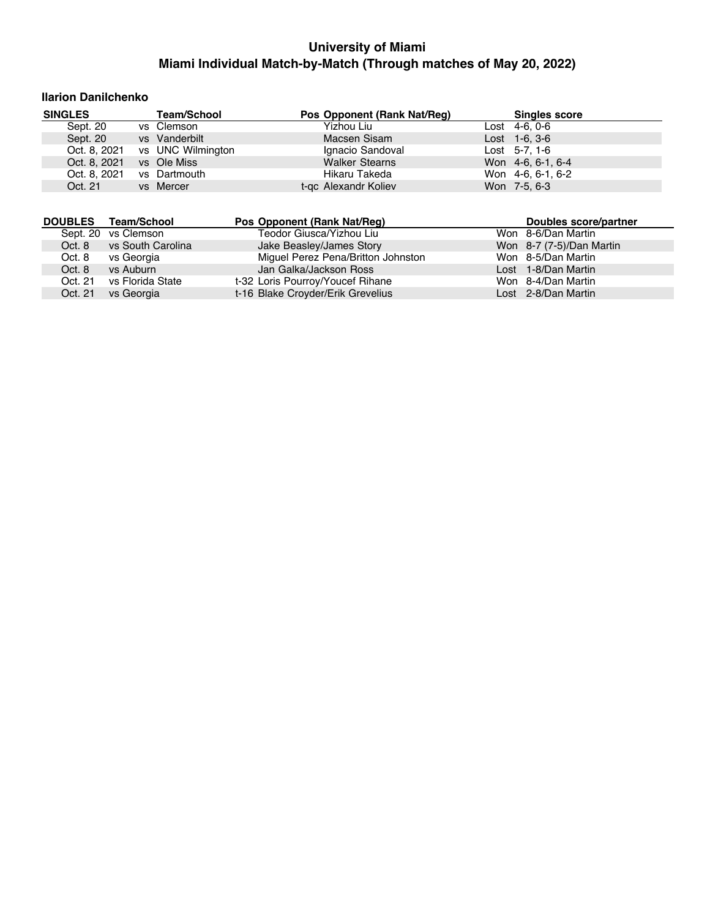### **Ilarion Danilchenko**

| <b>SINGLES</b> |              | <b>Team/School</b> | Pos Opponent (Rank Nat/Reg) | <b>Singles score</b> |  |
|----------------|--------------|--------------------|-----------------------------|----------------------|--|
| Sept. 20       |              | vs Clemson         | Yizhou Liu                  | $Last 4-6, 0-6$      |  |
| Sept. 20       |              | vs Vanderbilt      | Macsen Sisam                | $Last 1-6, 3-6$      |  |
|                | Oct. 8, 2021 | vs UNC Wilmington  | Ignacio Sandoval            | Lost $5-7, 1-6$      |  |
|                | Oct. 8, 2021 | vs Ole Miss        | <b>Walker Stearns</b>       | Won 4-6, 6-1, 6-4    |  |
|                | Oct. 8, 2021 | vs Dartmouth       | Hikaru Takeda               | Won 4-6, 6-1, 6-2    |  |
| Oct. 21        |              | vs Mercer          | t-gc Alexandr Koliev        | Won 7-5, 6-3         |  |

| <b>DOUBLES</b> | Team/School         | Pos Opponent (Rank Nat/Req)        | Doubles score/partner    |
|----------------|---------------------|------------------------------------|--------------------------|
|                | Sept. 20 vs Clemson | Teodor Giusca/Yizhou Liu           | Won 8-6/Dan Martin       |
| Oct. 8         | vs South Carolina   | Jake Beasley/James Story           | Won 8-7 (7-5)/Dan Martin |
| Oct. 8         | vs Georgia          | Miguel Perez Pena/Britton Johnston | Won 8-5/Dan Martin       |
| Oct. 8         | vs Auburn           | Jan Galka/Jackson Ross             | Lost 1-8/Dan Martin      |
| Oct. 21        | vs Florida State    | t-32 Loris Pourroy/Youcef Rihane   | Won 8-4/Dan Martin       |
| Oct. 21        | vs Georgia          | t-16 Blake Croyder/Erik Grevelius  | Lost 2-8/Dan Martin      |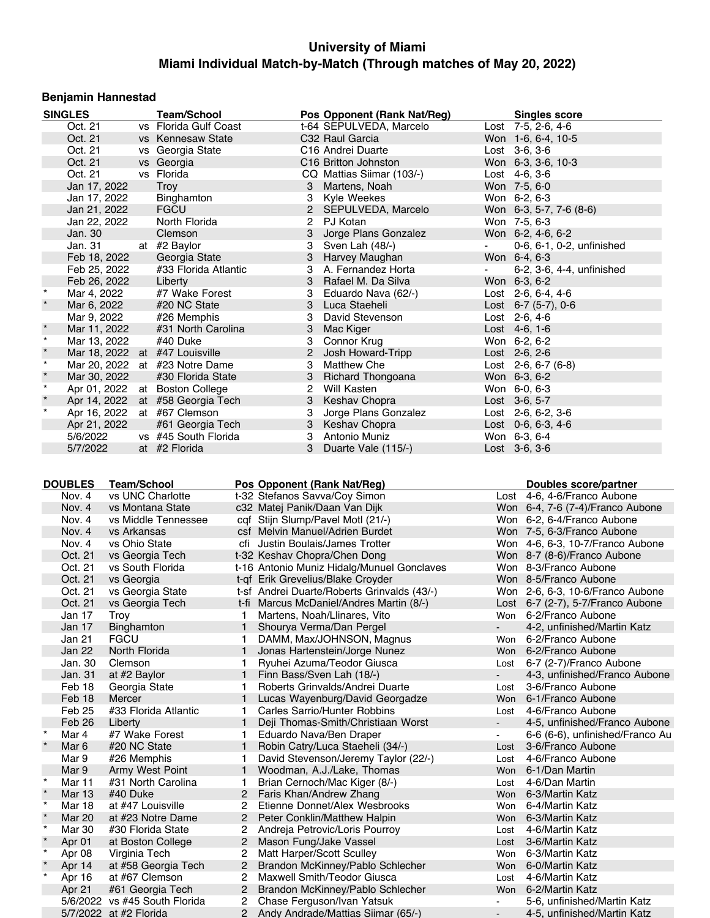## **Benjamin Hannestad**

|         | <b>SINGLES</b>              | <b>Team/School</b>             |                | Pos Opponent (Rank Nat/Reg)      |                 | <b>Singles score</b>      |
|---------|-----------------------------|--------------------------------|----------------|----------------------------------|-----------------|---------------------------|
|         | Oct. 21                     | vs Florida Gulf Coast          |                | t-64 SEPULVEDA, Marcelo          |                 | Lost 7-5, 2-6, 4-6        |
|         | Oct. 21                     | vs Kennesaw State              |                | C32 Raul Garcia                  |                 | Won 1-6, 6-4, 10-5        |
|         | Oct. 21                     | vs Georgia State               |                | C <sub>16</sub> Andrei Duarte    |                 | $Last \, 3-6, 3-6$        |
|         | Oct. 21                     | vs Georgia                     |                | C <sub>16</sub> Britton Johnston |                 | Won 6-3, 3-6, 10-3        |
|         | Oct. 21                     | vs Florida                     |                | CQ Mattias Siimar (103/-)        |                 | Lost 4-6, 3-6             |
|         | Jan 17, 2022                | Troy                           | 3              | Martens, Noah                    |                 | Won 7-5, 6-0              |
|         | Jan 17, 2022                | Binghamton                     |                | 3 Kyle Weekes                    |                 | Won 6-2, 6-3              |
|         | Jan 21, 2022                | <b>FGCU</b>                    |                | 2 SEPULVEDA, Marcelo             |                 | Won 6-3, 5-7, 7-6 $(8-6)$ |
|         | Jan 22, 2022                | North Florida                  | $\overline{2}$ | PJ Kotan                         |                 | Won 7-5, 6-3              |
|         | Jan. 30                     | Clemson                        |                | 3 Jorge Plans Gonzalez           |                 | Won 6-2, 4-6, 6-2         |
|         | Jan. 31                     | at #2 Baylor                   |                | 3 Sven Lah (48/-)                | $\sim 10^{-11}$ | 0-6, 6-1, 0-2, unfinished |
|         | Feb 18, 2022                | Georgia State                  |                | 3 Harvey Maughan                 |                 | Won 6-4, 6-3              |
|         | Feb 25, 2022                | #33 Florida Atlantic           |                | 3 A. Fernandez Horta             |                 | 6-2, 3-6, 4-4, unfinished |
|         | Feb 26, 2022                | Liberty                        |                | 3 Rafael M. Da Silva             |                 | Won 6-3, 6-2              |
|         | Mar 4, 2022                 | #7 Wake Forest                 | 3              | Eduardo Nava (62/-)              |                 | Lost $2-6, 6-4, 4-6$      |
| $\star$ | Mar 6, 2022                 | #20 NC State                   |                | 3 Luca Staeheli                  |                 | Lost $6-7$ (5-7), 0-6     |
|         | Mar 9, 2022                 | #26 Memphis                    |                | 3 David Stevenson                |                 | Lost $2-6, 4-6$           |
| $\star$ | Mar 11, 2022                | #31 North Carolina             |                | 3 Mac Kiger                      |                 | Lost $4-6, 1-6$           |
| $\star$ | Mar 13, 2022                | #40 Duke                       | 3              | Connor Krug                      |                 | Won 6-2, 6-2              |
| $\star$ |                             | Mar 18, 2022 at #47 Louisville | $\mathbf{2}$   | Josh Howard-Tripp                |                 | Lost $2-6, 2-6$           |
| $\star$ |                             | Mar 20, 2022 at #23 Notre Dame | 3              | Matthew Che                      |                 | Lost $2-6, 6-7$ (6-8)     |
| $\star$ | Mar 30, 2022                | #30 Florida State              | 3              | <b>Richard Thongoana</b>         |                 | Won 6-3, 6-2              |
| $\star$ |                             | Apr 01, 2022 at Boston College | $\overline{2}$ | Will Kasten                      |                 | Won 6-0, 6-3              |
| $\star$ | Apr 14, 2022                | at #58 Georgia Tech            |                | 3 Keshav Chopra                  |                 | Lost 3-6, 5-7             |
| $\star$ | Apr 16, 2022 at #67 Clemson |                                | 3              | Jorge Plans Gonzalez             |                 | Lost 2-6, 6-2, 3-6        |
|         | Apr 21, 2022                | #61 Georgia Tech               |                | 3 Keshav Chopra                  |                 | Lost $0-6, 6-3, 4-6$      |
|         | 5/6/2022                    | vs #45 South Florida           | 3              | Antonio Muniz                    |                 | Won 6-3, 6-4              |
|         | 5/7/2022                    | at #2 Florida                  |                | 3 Duarte Vale (115/-)            |                 | Lost 3-6, 3-6             |

|         | <b>DOUBLES</b>   | <b>Team/School</b>            |                | Pos Opponent (Rank Nat/Reg)                 |                          | Doubles score/partner               |
|---------|------------------|-------------------------------|----------------|---------------------------------------------|--------------------------|-------------------------------------|
|         | Nov. 4           | vs UNC Charlotte              |                | t-32 Stefanos Savva/Coy Simon               |                          | Lost 4-6, 4-6/Franco Aubone         |
|         | Nov. 4           | vs Montana State              |                | c32 Matej Panik/Daan Van Dijk               |                          | Won 6-4, 7-6 (7-4)/Franco Aubone    |
|         | Nov. 4           | vs Middle Tennessee           |                | cqf Stijn Slump/Pavel Motl (21/-)           |                          | Won 6-2, 6-4/Franco Aubone          |
|         | Nov. 4           | vs Arkansas                   |                | csf Melvin Manuel/Adrien Burdet             |                          | Won 7-5, 6-3/Franco Aubone          |
|         | Nov. 4           | vs Ohio State                 |                | cfi Justin Boulais/James Trotter            |                          | Won 4-6, 6-3, 10-7/Franco Aubone    |
|         | Oct. 21          | vs Georgia Tech               |                | t-32 Keshav Chopra/Chen Dong                |                          | Won 8-7 (8-6)/Franco Aubone         |
|         | Oct. 21          | vs South Florida              |                | t-16 Antonio Muniz Hidalg/Munuel Gonclaves  |                          | Won 8-3/Franco Aubone               |
|         | Oct. 21          | vs Georgia                    |                | t-gf Erik Grevelius/Blake Croyder           |                          | Won 8-5/Franco Aubone               |
|         | Oct. 21          | vs Georgia State              |                | t-sf Andrei Duarte/Roberts Grinvalds (43/-) |                          | Won 2-6, 6-3, 10-6/Franco Aubone    |
|         | Oct. 21          | vs Georgia Tech               | t-fi           | Marcus McDaniel/Andres Martin (8/-)         |                          | Lost $6-7$ (2-7), 5-7/Franco Aubone |
|         | Jan 17           | Troy                          | 1.             | Martens, Noah/Llinares, Vito                | Won                      | 6-2/Franco Aubone                   |
|         | Jan 17           | Binghamton                    | $\mathbf{1}$   | Shourya Verma/Dan Pergel                    | $\blacksquare$           | 4-2, unfinished/Martin Katz         |
|         | Jan 21           | <b>FGCU</b>                   | 1.             | DAMM, Max/JOHNSON, Magnus                   | Won                      | 6-2/Franco Aubone                   |
|         | Jan 22           | North Florida                 | $\mathbf{1}$   | Jonas Hartenstein/Jorge Nunez               | Won                      | 6-2/Franco Aubone                   |
|         | Jan. 30          | Clemson                       | 1.             | Ryuhei Azuma/Teodor Giusca                  | Lost                     | 6-7 (2-7)/Franco Aubone             |
|         | Jan. 31          | at #2 Baylor                  | $\mathbf{1}$   | Finn Bass/Sven Lah (18/-)                   | $\overline{\phantom{0}}$ | 4-3, unfinished/Franco Aubone       |
|         | Feb 18           | Georgia State                 | 1.             | Roberts Grinvalds/Andrei Duarte             | Lost                     | 3-6/Franco Aubone                   |
|         | Feb 18           | Mercer                        | $\mathbf{1}$   | Lucas Wayenburg/David Georgadze             | Won                      | 6-1/Franco Aubone                   |
|         | Feb 25           | #33 Florida Atlantic          | 1.             | Carles Sarrio/Hunter Robbins                | Lost                     | 4-6/Franco Aubone                   |
|         | Feb 26           | Liberty                       | 1              | Deji Thomas-Smith/Christiaan Worst          | $\blacksquare$           | 4-5, unfinished/Franco Aubone       |
| $\star$ | Mar 4            | #7 Wake Forest                | 1.             | Eduardo Nava/Ben Draper                     |                          | 6-6 (6-6), unfinished/Franco Au     |
| $\star$ | Mar <sub>6</sub> | #20 NC State                  | $\mathbf{1}$   | Robin Catry/Luca Staeheli (34/-)            | Lost                     | 3-6/Franco Aubone                   |
|         | Mar 9            | #26 Memphis                   | 1.             | David Stevenson/Jeremy Taylor (22/-)        | Lost                     | 4-6/Franco Aubone                   |
|         | Mar 9            | Army West Point               | $\mathbf{1}$   | Woodman, A.J./Lake, Thomas                  | Won                      | 6-1/Dan Martin                      |
| $\star$ | Mar 11           | #31 North Carolina            | 1              | Brian Cernoch/Mac Kiger (8/-)               | Lost                     | 4-6/Dan Martin                      |
| $\star$ | <b>Mar 13</b>    | #40 Duke                      | $\overline{2}$ | Faris Khan/Andrew Zhang                     |                          | Won 6-3/Martin Katz                 |
| $\star$ | Mar 18           | at #47 Louisville             | $\overline{2}$ | Etienne Donnet/Alex Wesbrooks               | Won                      | 6-4/Martin Katz                     |
| $\star$ | <b>Mar 20</b>    | at #23 Notre Dame             | 2              | Peter Conklin/Matthew Halpin                |                          | Won 6-3/Martin Katz                 |
| $\star$ | Mar 30           | #30 Florida State             | 2              | Andreja Petrovic/Loris Pourroy              | Lost                     | 4-6/Martin Katz                     |
| $\star$ | Apr 01           | at Boston College             | $\overline{2}$ | Mason Fung/Jake Vassel                      | Lost                     | 3-6/Martin Katz                     |
| $\star$ | Apr 08           | Virginia Tech                 | 2              | Matt Harper/Scott Sculley                   | Won                      | 6-3/Martin Katz                     |
| $\star$ | Apr 14           | at #58 Georgia Tech           | $\overline{2}$ | Brandon McKinney/Pablo Schlecher            |                          | Won 6-0/Martin Katz                 |
| $\star$ | Apr 16           | at #67 Clemson                | 2              | <b>Maxwell Smith/Teodor Giusca</b>          | Lost                     | 4-6/Martin Katz                     |
|         | Apr 21           | #61 Georgia Tech              | $\overline{2}$ | Brandon McKinney/Pablo Schlecher            | Won                      | 6-2/Martin Katz                     |
|         |                  | 5/6/2022 vs #45 South Florida | 2              | Chase Ferguson/Ivan Yatsuk                  | $\blacksquare$           | 5-6, unfinished/Martin Katz         |
|         |                  | 5/7/2022 at #2 Florida        | 2              | Andy Andrade/Mattias Siimar (65/-)          | $\blacksquare$           | 4-5. unfinished/Martin Katz         |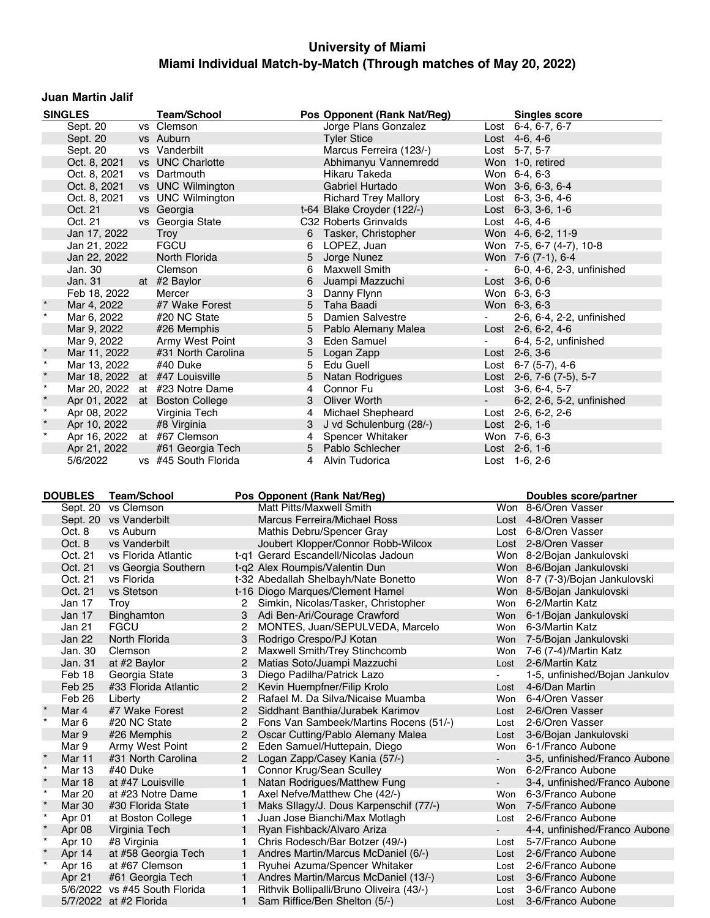#### **Juan Martin Jalif**

|         | <b>SINGLES</b>         |                    | <b>Team/School</b>                    | Pos Opponent (Rank Nat/Reg) |                                                                  |                                          | <b>Singles score</b> |                                                  |
|---------|------------------------|--------------------|---------------------------------------|-----------------------------|------------------------------------------------------------------|------------------------------------------|----------------------|--------------------------------------------------|
|         | Sept. 20               |                    | vs Clemson                            |                             |                                                                  | Jorge Plans Gonzalez                     |                      | Lost 6-4, 6-7, 6-7                               |
|         | Sept. 20               |                    | vs Auburn                             |                             |                                                                  | <b>Tyler Stice</b>                       |                      | Lost $4-6, 4-6$                                  |
|         | Sept. 20               |                    | vs Vanderbilt                         |                             |                                                                  | Marcus Ferreira (123/-)                  |                      | Lost 5-7, 5-7                                    |
|         | Oct. 8, 2021           |                    | vs UNC Charlotte                      |                             |                                                                  | Abhimanyu Vannemredd                     |                      | Won 1-0, retired                                 |
|         | Oct. 8, 2021           |                    | vs Dartmouth                          |                             |                                                                  | Hikaru Takeda                            |                      | Won 6-4, 6-3                                     |
|         | Oct. 8, 2021           |                    | vs UNC Wilmington                     |                             |                                                                  | Gabriel Hurtado                          |                      | Won 3-6, 6-3, 6-4                                |
|         | Oct. 8, 2021           |                    | vs UNC Wilmington                     |                             |                                                                  | <b>Richard Trey Mallory</b>              |                      | Lost $6-3$ , $3-6$ , $4-6$                       |
|         | Oct. 21                |                    | vs Georgia                            |                             |                                                                  | t-64 Blake Croyder (122/-)               |                      | Lost 6-3, 3-6, 1-6                               |
|         | Oct. 21                |                    | vs Georgia State                      |                             |                                                                  | C32 Roberts Grinvalds                    |                      | Lost 4-6, 4-6                                    |
|         | Jan 17, 2022           |                    | Troy                                  |                             | 6                                                                | Tasker, Christopher                      |                      | Won 4-6, 6-2, 11-9                               |
|         | Jan 21, 2022           |                    | <b>FGCU</b>                           |                             | 6                                                                | LOPEZ, Juan                              |                      | Won 7-5, 6-7 (4-7), 10-8                         |
|         | Jan 22, 2022           |                    | North Florida                         |                             | 5                                                                | Jorge Nunez                              |                      | Won 7-6 (7-1), 6-4                               |
|         | Jan. 30                |                    | Clemson                               |                             | 6                                                                | <b>Maxwell Smith</b>                     |                      | 6-0, 4-6, 2-3, unfinished                        |
|         | Jan. 31                |                    | at #2 Baylor                          |                             | 6                                                                | Juampi Mazzuchi                          |                      | Lost $3-6, 0-6$                                  |
|         | Feb 18, 2022           |                    | Mercer                                |                             | 3                                                                | Danny Flynn                              |                      | Won 6-3, 6-3                                     |
| $\star$ | Mar 4, 2022            |                    | #7 Wake Forest                        |                             | 5                                                                | Taha Baadi                               |                      | Won 6-3, 6-3                                     |
|         | Mar 6, 2022            |                    | #20 NC State                          |                             | 5                                                                | <b>Damien Salvestre</b>                  |                      | 2-6, 6-4, 2-2, unfinished                        |
|         | Mar 9, 2022            |                    | #26 Memphis                           |                             | 5                                                                | Pablo Alemany Malea                      |                      | Lost 2-6, 6-2, 4-6                               |
|         | Mar 9, 2022            |                    | Army West Point                       |                             | 3                                                                | Eden Samuel                              | $\blacksquare$       | 6-4, 5-2, unfinished                             |
| $\star$ | Mar 11, 2022           |                    | #31 North Carolina                    |                             | 5                                                                | Logan Zapp                               |                      | Lost $2-6, 3-6$                                  |
| $\star$ | Mar 13, 2022           |                    | #40 Duke                              |                             | 5                                                                | Edu Guell                                |                      | Lost 6-7 (5-7), 4-6                              |
| $\star$ |                        |                    | Mar 18, 2022 at #47 Louisville        |                             | 5                                                                | <b>Natan Rodrigues</b>                   |                      | Lost $2-6$ , $7-6$ $(7-5)$ , $5-7$               |
| $\star$ |                        |                    | Mar 20, 2022 at #23 Notre Dame        |                             | 4                                                                | Connor Fu                                |                      | Lost 3-6, 6-4, 5-7                               |
| $\star$ |                        |                    | Apr 01, 2022 at Boston College        |                             | 3                                                                | Oliver Worth                             |                      | 6-2, 2-6, 5-2, unfinished                        |
| $\star$ | Apr 08, 2022           |                    | Virginia Tech                         |                             | 4                                                                | <b>Michael Shepheard</b>                 |                      | Lost 2-6, 6-2, 2-6                               |
| $\star$ | Apr 10, 2022           |                    | #8 Virginia                           |                             | 3                                                                | J vd Schulenburg (28/-)                  |                      | Lost 2-6, 1-6                                    |
|         |                        |                    | Apr 16, 2022 at #67 Clemson           |                             | 4                                                                | Spencer Whitaker                         |                      | Won 7-6, 6-3                                     |
|         | Apr 21, 2022           |                    | #61 Georgia Tech                      |                             | 5                                                                | Pablo Schlecher                          |                      | Lost 2-6, 1-6                                    |
|         | 5/6/2022               |                    | vs #45 South Florida                  |                             |                                                                  | 4 Alvin Tudorica                         |                      | Lost $1-6, 2-6$                                  |
|         |                        |                    |                                       |                             |                                                                  |                                          |                      |                                                  |
|         |                        | <b>Team/School</b> |                                       |                             |                                                                  |                                          |                      |                                                  |
|         |                        |                    |                                       |                             |                                                                  |                                          |                      |                                                  |
|         | <b>DOUBLES</b>         |                    |                                       |                             | Pos Opponent (Rank Nat/Reg)                                      |                                          |                      | <b>Doubles score/partner</b>                     |
|         | Sept. 20               | vs Clemson         |                                       |                             | Matt Pitts/Maxwell Smith                                         |                                          |                      | Won 8-6/Oren Vasser                              |
|         | Sept. 20 vs Vanderbilt |                    |                                       |                             | <b>Marcus Ferreira/Michael Ross</b>                              |                                          |                      | Lost 4-8/Oren Vasser                             |
|         | Oct. 8                 | vs Auburn          |                                       |                             | Mathis Debru/Spencer Gray                                        |                                          |                      | Lost 6-8/Oren Vasser                             |
|         | Oct. 8                 | vs Vanderbilt      |                                       |                             |                                                                  | Joubert Klopper/Connor Robb-Wilcox       |                      | Lost 2-8/Oren Vasser                             |
|         | Oct. 21                |                    | vs Florida Atlantic                   |                             | t-q1 Gerard Escandell/Nicolas Jadoun                             |                                          |                      | Won 8-2/Bojan Jankulovski                        |
|         | Oct. 21                |                    | vs Georgia Southern                   |                             | t-q2 Alex Roumpis/Valentin Dun                                   |                                          |                      | Won 8-6/Bojan Jankulovski                        |
|         | Oct. 21                | vs Florida         |                                       |                             | t-32 Abedallah Shelbayh/Nate Bonetto                             |                                          |                      | Won 8-7 (7-3)/Bojan Jankulovski                  |
|         | Oct. 21                | vs Stetson         |                                       |                             | t-16 Diogo Marques/Clement Hamel                                 |                                          |                      | Won 8-5/Bojan Jankulovski                        |
|         | Jan 17                 | Troy               |                                       |                             | 2 Simkin, Nicolas/Tasker, Christopher                            |                                          |                      | Won 6-2/Martin Katz                              |
|         | Jan 17                 | Binghamton         |                                       |                             | 3 Adi Ben-Ari/Courage Crawford                                   |                                          |                      | Won 6-1/Bojan Jankulovski                        |
|         | Jan 21                 | FGCU               |                                       |                             |                                                                  | 2 MONTES, Juan/SEPULVEDA, Marcelo        |                      | Won 6-3/Martin Katz                              |
|         | Jan 22                 | North Florida      |                                       | 2                           | Rodrigo Crespo/PJ Kotan                                          |                                          | Won                  | Won 7-5/Bojan Jankulovski                        |
|         | Jan. 30                | Clemson            |                                       | 2                           | Maxwell Smith/Trey Stinchcomb                                    |                                          | Lost                 | 7-6 (7-4)/Martin Katz                            |
|         | Jan. 31<br>Feb 18      | at #2 Baylor       |                                       | 3                           | Matias Soto/Juampi Mazzuchi                                      |                                          |                      | 2-6/Martin Katz                                  |
|         | Feb 25                 | Georgia State      | #33 Florida Atlantic                  | 2                           | Diego Padilha/Patrick Lazo                                       |                                          | Lost                 | 1-5, unfinished/Bojan Jankulov<br>4-6/Dan Martin |
|         | Feb 26                 | Liberty            |                                       | 2                           | Kevin Huempfner/Filip Krolo<br>Rafael M. Da Silva/Nicaise Muamba |                                          | Won                  | 6-4/Oren Vasser                                  |
|         | Mar 4                  |                    | #7 Wake Forest                        | $\mathbf{2}$                | Siddhant Banthia/Jurabek Karimov                                 |                                          | Lost                 | 2-6/Oren Vasser                                  |
| $\star$ | Mar 6                  | #20 NC State       |                                       | 2                           |                                                                  | Fons Van Sambeek/Martins Rocens (51/-)   | Lost                 | 2-6/Oren Vasser                                  |
|         | Mar 9                  | #26 Memphis        |                                       | $\mathbf{2}$                | Oscar Cutting/Pablo Alemany Malea                                |                                          | Lost                 | 3-6/Bojan Jankulovski                            |
|         |                        |                    |                                       | 2                           | Eden Samuel/Huttepain, Diego                                     |                                          | Won                  | 6-1/Franco Aubone                                |
| $\star$ | Mar 9<br>Mar 11        |                    | Army West Point<br>#31 North Carolina | $\overline{2}$              | Logan Zapp/Casey Kania (57/-)                                    |                                          | $\blacksquare$       | 3-5, unfinished/Franco Aubone                    |
| $\star$ | Mar 13                 | #40 Duke           |                                       | 1                           | Connor Krug/Sean Sculley                                         |                                          | Won                  | 6-2/Franco Aubone                                |
| $\star$ | <b>Mar 18</b>          |                    | at #47 Louisville                     | $\mathbf{1}$                | Natan Rodrigues/Matthew Fung                                     |                                          |                      | 3-4, unfinished/Franco Aubone                    |
| $\star$ | <b>Mar 20</b>          |                    | at #23 Notre Dame                     | 1                           | Axel Nefve/Matthew Che (42/-)                                    |                                          | Won                  | 6-3/Franco Aubone                                |
|         | <b>Mar 30</b>          |                    | #30 Florida State                     | 1                           |                                                                  | Maks Sllagy/J. Dous Karpenschif (77/-)   | Won                  | 7-5/Franco Aubone                                |
| $\star$ | Apr 01                 |                    | at Boston College                     | 1                           | Juan Jose Bianchi/Max Motlagh                                    |                                          | Lost                 | 2-6/Franco Aubone                                |
| $\star$ | Apr 08                 | Virginia Tech      |                                       | 1                           | Ryan Fishback/Alvaro Ariza                                       |                                          |                      | 4-4, unfinished/Franco Aubone                    |
| $\star$ | Apr 10                 | #8 Virginia        |                                       | 1.                          | Chris Rodesch/Bar Botzer (49/-)                                  |                                          | Lost                 | 5-7/Franco Aubone                                |
|         | Apr 14                 |                    | at #58 Georgia Tech                   | 1                           | Andres Martin/Marcus McDaniel (6/-)                              |                                          | Lost                 | 2-6/Franco Aubone                                |
| $\star$ | Apr 16                 |                    | at #67 Clemson                        | 1                           | Ryuhei Azuma/Spencer Whitaker                                    |                                          | Lost                 | 2-6/Franco Aubone                                |
|         | Apr 21                 |                    | #61 Georgia Tech                      | $\mathbf{1}$                |                                                                  | Andres Martin/Marcus McDaniel (13/-)     | Lost                 | 3-6/Franco Aubone                                |
|         | 5/7/2022 at #2 Florida |                    | 5/6/2022 vs #45 South Florida         | 1.                          | Sam Riffice/Ben Shelton (5/-)                                    | Rithvik Bollipalli/Bruno Oliveira (43/-) | Lost                 | 3-6/Franco Aubone<br>3-6/Franco Aubone           |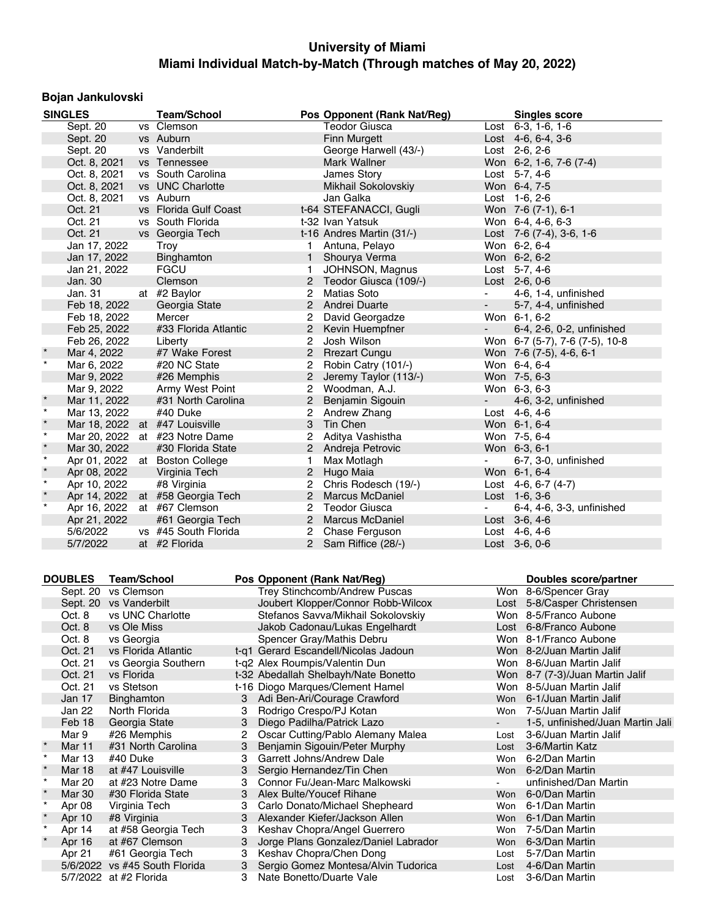## **Bojan Jankulovski**

|          | <b>SINGLES</b>                 | <b>Team/School</b>             |                | Pos Opponent (Rank Nat/Reg) |                          | <b>Singles score</b>           |  |  |  |
|----------|--------------------------------|--------------------------------|----------------|-----------------------------|--------------------------|--------------------------------|--|--|--|
| Sept. 20 |                                | vs Clemson                     |                | Teodor Giusca               |                          | Lost $6-3$ , 1-6, 1-6          |  |  |  |
|          | Sept. 20                       | vs Auburn                      |                | <b>Finn Murgett</b>         |                          | Lost $4-6, 6-4, 3-6$           |  |  |  |
|          | Sept. 20                       | vs Vanderbilt                  |                | George Harwell (43/-)       |                          | Lost 2-6, 2-6                  |  |  |  |
|          | Oct. 8, 2021                   | vs Tennessee                   |                | Mark Wallner                |                          | Won 6-2, 1-6, 7-6 (7-4)        |  |  |  |
|          | Oct. 8, 2021                   | vs South Carolina              |                | James Story                 |                          | Lost 5-7, 4-6                  |  |  |  |
|          | Oct. 8, 2021                   | vs UNC Charlotte               |                | Mikhail Sokolovskiy         |                          | Won 6-4, 7-5                   |  |  |  |
|          | Oct. 8, 2021                   | vs Auburn                      |                | Jan Galka                   |                          | Lost $1-6, 2-6$                |  |  |  |
|          | Oct. 21                        | vs Florida Gulf Coast          |                | t-64 STEFANACCI, Gugli      |                          | Won 7-6 (7-1), 6-1             |  |  |  |
|          | Oct. 21                        | vs South Florida               |                | t-32 Ivan Yatsuk            |                          | Won 6-4, 4-6, 6-3              |  |  |  |
|          | Oct. 21                        | vs Georgia Tech                |                | t-16 Andres Martin (31/-)   |                          | Lost 7-6 (7-4), 3-6, 1-6       |  |  |  |
|          | Jan 17, 2022                   | Troy                           |                | Antuna, Pelayo              |                          | Won 6-2, 6-4                   |  |  |  |
|          | Jan 17, 2022                   | Binghamton                     | $\mathbf{1}$   | Shourya Verma               |                          | Won 6-2, 6-2                   |  |  |  |
|          | Jan 21, 2022                   | <b>FGCU</b>                    | 1              | JOHNSON, Magnus             |                          | Lost $5-7, 4-6$                |  |  |  |
|          | Jan. 30                        | Clemson                        | 2              | Teodor Giusca (109/-)       |                          | Lost 2-6, 0-6                  |  |  |  |
|          | Jan. 31                        | at #2 Baylor                   | 2              | <b>Matias Soto</b>          | $\blacksquare$           | 4-6, 1-4, unfinished           |  |  |  |
|          | Feb 18, 2022                   | Georgia State                  | 2              | Andrei Duarte               | $\overline{\phantom{a}}$ | 5-7, 4-4, unfinished           |  |  |  |
|          | Feb 18, 2022                   | Mercer                         | 2              | David Georgadze             |                          | Won 6-1, 6-2                   |  |  |  |
|          | Feb 25, 2022                   | #33 Florida Atlantic           | $\overline{2}$ | Kevin Huempfner             | $\sim$                   | 6-4, 2-6, 0-2, unfinished      |  |  |  |
|          | Feb 26, 2022                   | Liberty                        | 2              | Josh Wilson                 |                          | Won 6-7 (5-7), 7-6 (7-5), 10-8 |  |  |  |
|          | Mar 4, 2022                    | #7 Wake Forest                 | $\overline{2}$ | <b>Rrezart Cungu</b>        |                          | Won 7-6 (7-5), 4-6, 6-1        |  |  |  |
| $\star$  | Mar 6, 2022                    | #20 NC State                   | 2              | Robin Catry (101/-)         |                          | Won 6-4, 6-4                   |  |  |  |
|          | Mar 9, 2022                    | #26 Memphis                    | 2              | Jeremy Taylor (113/-)       |                          | Won 7-5, 6-3                   |  |  |  |
|          | Mar 9, 2022                    | Army West Point                | $\overline{2}$ | Woodman, A.J.               |                          | Won 6-3, 6-3                   |  |  |  |
| $\star$  | Mar 11, 2022                   | #31 North Carolina             | 2              | Benjamin Sigouin            | $\sim$                   | 4-6, 3-2, unfinished           |  |  |  |
| $\star$  | Mar 13, 2022                   | #40 Duke                       | 2              | Andrew Zhang                |                          | Lost 4-6, 4-6                  |  |  |  |
| $\star$  | Mar 18, 2022 at #47 Louisville |                                | 3              | Tin Chen                    |                          | Won 6-1, 6-4                   |  |  |  |
| $\star$  |                                | Mar 20, 2022 at #23 Notre Dame | 2              | Aditya Vashistha            |                          | Won 7-5, 6-4                   |  |  |  |
| $\star$  | Mar 30, 2022                   | #30 Florida State              | $\overline{2}$ | Andreja Petrovic            |                          | Won 6-3, 6-1                   |  |  |  |
| $\star$  |                                | Apr 01, 2022 at Boston College | 1              | Max Motlagh                 | $\overline{\phantom{a}}$ | 6-7, 3-0, unfinished           |  |  |  |
| $\star$  | Apr 08, 2022                   | Virginia Tech                  | 2              | Hugo Maia                   |                          | Won 6-1, 6-4                   |  |  |  |
| $\star$  | Apr 10, 2022                   | #8 Virginia                    | 2              | Chris Rodesch (19/-)        |                          | Lost 4-6, 6-7 (4-7)            |  |  |  |
| $\star$  | Apr 14, 2022                   | at #58 Georgia Tech            | $\overline{2}$ | <b>Marcus McDaniel</b>      |                          | Lost $1-6, 3-6$                |  |  |  |
| $\star$  | Apr 16, 2022                   | at #67 Clemson                 | $\overline{2}$ | Teodor Giusca               | $\overline{\phantom{a}}$ | 6-4, 4-6, 3-3, unfinished      |  |  |  |
|          | Apr 21, 2022                   | #61 Georgia Tech               | $\overline{2}$ | <b>Marcus McDaniel</b>      |                          | Lost $3-6, 4-6$                |  |  |  |
|          | 5/6/2022                       | vs #45 South Florida           | $\overline{2}$ | Chase Ferguson              |                          | Lost 4-6, 4-6                  |  |  |  |
|          | 5/7/2022                       | at #2 Florida                  |                | 2 Sam Riffice (28/-)        |                          | Lost $3-6, 0-6$                |  |  |  |

|         | <b>DOUBLES</b> | Team/School                   |   | Pos Opponent (Rank Nat/Req)          |            | Doubles score/partner            |
|---------|----------------|-------------------------------|---|--------------------------------------|------------|----------------------------------|
|         | Sept. 20       | vs Clemson                    |   | Trey Stinchcomb/Andrew Puscas        | Won        | 8-6/Spencer Gray                 |
|         |                | Sept. 20 vs Vanderbilt        |   | Joubert Klopper/Connor Robb-Wilcox   |            | Lost 5-8/Casper Christensen      |
|         | Oct. 8         | vs UNC Charlotte              |   | Stefanos Savva/Mikhail Sokolovskiy   |            | Won 8-5/Franco Aubone            |
|         | Oct. 8         | vs Ole Miss                   |   | Jakob Cadonau/Lukas Engelhardt       |            | Lost 6-8/Franco Aubone           |
|         | Oct. 8         | vs Georgia                    |   | Spencer Gray/Mathis Debru            |            | Won 8-1/Franco Aubone            |
|         | Oct. 21        | vs Florida Atlantic           |   | t-g1 Gerard Escandell/Nicolas Jadoun |            | Won 8-2/Juan Martin Jalif        |
|         | Oct. 21        | vs Georgia Southern           |   | t-g2 Alex Roumpis/Valentin Dun       |            | Won 8-6/Juan Martin Jalif        |
|         | Oct. 21        | vs Florida                    |   | t-32 Abedallah Shelbayh/Nate Bonetto |            | Won 8-7 (7-3)/Juan Martin Jalif  |
|         | Oct. 21        | vs Stetson                    |   | t-16 Diogo Marques/Clement Hamel     |            | Won 8-5/Juan Martin Jalif        |
|         | Jan 17         | <b>Binghamton</b>             | 3 | Adi Ben-Ari/Courage Crawford         | Won        | 6-1/Juan Martin Jalif            |
|         | Jan 22         | North Florida                 | 3 | Rodrigo Crespo/PJ Kotan              | Won        | 7-5/Juan Martin Jalif            |
|         | Feb 18         | Georgia State                 | 3 | Diego Padilha/Patrick Lazo           |            | 1-5, unfinished/Juan Martin Jali |
|         | Mar 9          | #26 Memphis                   | 2 | Oscar Cutting/Pablo Alemany Malea    | Lost       | 3-6/Juan Martin Jalif            |
| $\star$ | <b>Mar 11</b>  | #31 North Carolina            | 3 | Benjamin Sigouin/Peter Murphy        | Lost       | 3-6/Martin Katz                  |
| $\star$ | Mar 13         | #40 Duke                      | 3 | Garrett Johns/Andrew Dale            | Won        | 6-2/Dan Martin                   |
|         | Mar 18         | at #47 Louisville             | 3 | Sergio Hernandez/Tin Chen            | Won        | 6-2/Dan Martin                   |
| $\star$ | Mar 20         | at #23 Notre Dame             | 3 | Connor Fu/Jean-Marc Malkowski        |            | unfinished/Dan Martin            |
|         | Mar 30         | #30 Florida State             | 3 | Alex Bulte/Youcef Rihane             | Won        | 6-0/Dan Martin                   |
| $\star$ | Apr 08         | Virginia Tech                 | 3 | Carlo Donato/Michael Shepheard       | <b>Won</b> | 6-1/Dan Martin                   |
| $\star$ | Apr 10         | #8 Virginia                   | 3 | Alexander Kiefer/Jackson Allen       | Won        | 6-1/Dan Martin                   |
| $\star$ | Apr 14         | at #58 Georgia Tech           | 3 | Keshav Chopra/Angel Guerrero         | <b>Won</b> | 7-5/Dan Martin                   |
|         | Apr 16         | at #67 Clemson                | 3 | Jorge Plans Gonzalez/Daniel Labrador | <b>Won</b> | 6-3/Dan Martin                   |
|         | Apr 21         | #61 Georgia Tech              | 3 | Keshav Chopra/Chen Dong              | Lost       | 5-7/Dan Martin                   |
|         |                | 5/6/2022 vs #45 South Florida | 3 | Sergio Gomez Montesa/Alvin Tudorica  | Lost       | 4-6/Dan Martin                   |
|         |                | 5/7/2022 at #2 Florida        | 3 | Nate Bonetto/Duarte Vale             | Lost       | 3-6/Dan Martin                   |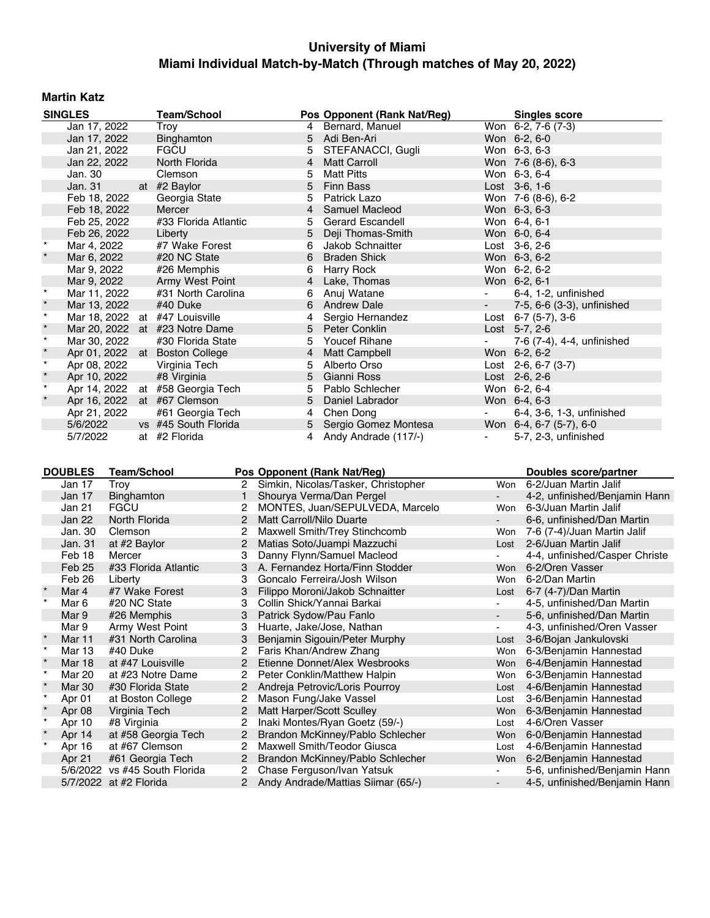## **Martin Katz**

|              | <b>SINGLES</b>              | <b>Team/School</b>             |                | Pos Opponent (Rank Nat/Reg) |            | <b>Singles score</b>       |
|--------------|-----------------------------|--------------------------------|----------------|-----------------------------|------------|----------------------------|
| Jan 17, 2022 |                             | Troy                           |                | 4 Bernard, Manuel           |            | Won 6-2, 7-6 (7-3)         |
|              | Jan 17, 2022                | Binghamton                     | 5              | Adi Ben-Ari                 |            | Won 6-2, 6-0               |
|              | Jan 21, 2022                | <b>FGCU</b>                    | 5              | STEFANACCI, Gugli           |            | Won 6-3, 6-3               |
|              | Jan 22, 2022                | North Florida                  | $\overline{4}$ | <b>Matt Carroll</b>         |            | Won 7-6 (8-6), 6-3         |
|              | Jan. 30                     | Clemson                        | 5              | <b>Matt Pitts</b>           |            | Won 6-3, 6-4               |
|              | Jan. 31                     | at #2 Baylor                   |                | 5 Finn Bass                 |            | Lost 3-6, 1-6              |
|              | Feb 18, 2022                | Georgia State                  | 5.             | Patrick Lazo                |            | Won 7-6 (8-6), 6-2         |
|              | Feb 18, 2022                | Mercer                         |                | 4 Samuel Macleod            |            | Won 6-3, 6-3               |
|              | Feb 25, 2022                | #33 Florida Atlantic           | 5.             | <b>Gerard Escandell</b>     |            | Won 6-4, 6-1               |
|              | Feb 26, 2022                | Liberty                        | 5              | Deji Thomas-Smith           |            | Won 6-0, 6-4               |
| $^{\star}$   | Mar 4, 2022                 | #7 Wake Forest                 | 6              | Jakob Schnaitter            |            | Lost $3-6, 2-6$            |
|              | Mar 6, 2022                 | #20 NC State                   | 6              | <b>Braden Shick</b>         |            | Won 6-3, 6-2               |
|              | Mar 9, 2022                 | #26 Memphis                    | 6              | Harry Rock                  |            | Won 6-2, 6-2               |
|              | Mar 9, 2022                 | Army West Point                |                | 4 Lake, Thomas              |            | Won 6-2, 6-1               |
| $\star$      | Mar 11, 2022                | #31 North Carolina             | 6              | Anuj Watane                 | $\sim 100$ | 6-4, 1-2, unfinished       |
| $\star$      | Mar 13, 2022                | #40 Duke                       | 6              | <b>Andrew Dale</b>          | $\sim 100$ | 7-5, 6-6 (3-3), unfinished |
| $\star$      |                             | Mar 18, 2022 at #47 Louisville | 4              | Sergio Hernandez            |            | Lost $6-7$ (5-7), 3-6      |
| $\star$      |                             | Mar 20, 2022 at #23 Notre Dame |                | 5 Peter Conklin             |            | Lost $5-7, 2-6$            |
| $\star$      | Mar 30, 2022                | #30 Florida State              | 5.             | <b>Youcef Rihane</b>        |            | 7-6 (7-4), 4-4, unfinished |
| $\star$      |                             | Apr 01, 2022 at Boston College |                | 4 Matt Campbell             |            | Won 6-2, 6-2               |
| $\star$      | Apr 08, 2022                | Virginia Tech                  | 5              | Alberto Orso                |            | Lost $2-6, 6-7$ (3-7)      |
| $\star$      | Apr 10, 2022                | #8 Virginia                    | 5              | Gianni Ross                 |            | Lost $2-6, 2-6$            |
| $\star$      | Apr 14, 2022                | at #58 Georgia Tech            | 5              | Pablo Schlecher             |            | Won 6-2, 6-4               |
|              | Apr 16, 2022 at #67 Clemson |                                | 5              | Daniel Labrador             |            | Won 6-4, 6-3               |
|              | Apr 21, 2022                | #61 Georgia Tech               | 4              | Chen Dong                   | $\sim 100$ | 6-4, 3-6, 1-3, unfinished  |
|              | 5/6/2022                    | vs #45 South Florida           |                | 5 Sergio Gomez Montesa      |            | Won 6-4, 6-7 (5-7), 6-0    |
|              | 5/7/2022                    | at #2 Florida                  | 4              | Andy Andrade (117/-)        |            | 5-7, 2-3, unfinished       |
|              |                             |                                |                |                             |            |                            |

|                | <b>DOUBLES</b>     | <b>Team/School</b>     |                                     | Pos Opponent (Rank Nat/Reg)        |                       | Doubles score/partner          |
|----------------|--------------------|------------------------|-------------------------------------|------------------------------------|-----------------------|--------------------------------|
| Jan 17<br>Trov |                    | 2                      | Simkin, Nicolas/Tasker, Christopher | <b>Won</b>                         | 6-2/Juan Martin Jalif |                                |
|                | Jan 17             | Binghamton             |                                     | Shourya Verma/Dan Pergel           |                       | 4-2, unfinished/Benjamin Hann  |
|                | Jan 21             | <b>FGCU</b>            | 2                                   | MONTES, Juan/SEPULVEDA, Marcelo    | Won                   | 6-3/Juan Martin Jalif          |
|                | Jan 22             | North Florida          | 2                                   | Matt Carroll/Nilo Duarte           |                       | 6-6, unfinished/Dan Martin     |
|                | Jan. 30<br>Clemson |                        |                                     | Maxwell Smith/Trey Stinchcomb      | Won                   | 7-6 (7-4)/Juan Martin Jalif    |
|                | Jan. 31            | at #2 Baylor           | $\overline{2}$                      | Matias Soto/Juampi Mazzuchi        | Lost                  | 2-6/Juan Martin Jalif          |
|                | Feb 18             | Mercer                 | 3                                   | Danny Flynn/Samuel Macleod         |                       | 4-4, unfinished/Casper Christe |
|                | Feb 25             | #33 Florida Atlantic   | 3                                   | A. Fernandez Horta/Finn Stodder    | <b>Won</b>            | 6-2/Oren Vasser                |
|                | Feb 26             | Liberty                | 3                                   | Goncalo Ferreira/Josh Wilson       | Won                   | 6-2/Dan Martin                 |
|                | Mar 4              | #7 Wake Forest         | 3                                   | Filippo Moroni/Jakob Schnaitter    | Lost                  | 6-7 (4-7)/Dan Martin           |
|                | Mar 6              | #20 NC State           | з                                   | Collin Shick/Yannai Barkai         |                       | 4-5, unfinished/Dan Martin     |
|                | Mar 9              | #26 Memphis            | 3                                   | Patrick Sydow/Pau Fanlo            |                       | 5-6, unfinished/Dan Martin     |
|                | Mar 9              | Army West Point        | 3                                   | Huarte, Jake/Jose, Nathan          |                       | 4-3, unfinished/Oren Vasser    |
|                | <b>Mar 11</b>      | #31 North Carolina     | 3                                   | Benjamin Sigouin/Peter Murphy      | Lost                  | 3-6/Bojan Jankulovski          |
| $\star$        | Mar 13             | #40 Duke               |                                     | Faris Khan/Andrew Zhang            | Won                   | 6-3/Benjamin Hannestad         |
|                | <b>Mar 18</b>      | at #47 Louisville      |                                     | Etienne Donnet/Alex Wesbrooks      | <b>Won</b>            | 6-4/Benjamin Hannestad         |
| $\star$        | Mar 20             | at #23 Notre Dame      | 2                                   | Peter Conklin/Matthew Halpin       | Won                   | 6-3/Benjamin Hannestad         |
|                | Mar 30             | #30 Florida State      | 2                                   | Andreja Petrovic/Loris Pourroy     | Lost                  | 4-6/Benjamin Hannestad         |
| $\star$        | Apr 01             | at Boston College      | 2                                   | Mason Fung/Jake Vassel             | Lost                  | 3-6/Benjamin Hannestad         |
| $\star$        | Apr 08             | Virginia Tech          | $\overline{2}$                      | Matt Harper/Scott Sculley          | <b>Won</b>            | 6-3/Benjamin Hannestad         |
| $\star$        | Apr 10             | #8 Virginia            | 2                                   | Inaki Montes/Ryan Goetz (59/-)     | Lost                  | 4-6/Oren Vasser                |
|                | Apr 14             | at #58 Georgia Tech    | $\overline{2}$                      | Brandon McKinney/Pablo Schlecher   | <b>Won</b>            | 6-0/Benjamin Hannestad         |
|                | Apr 16             | at #67 Clemson         | 2                                   | Maxwell Smith/Teodor Giusca        | Lost                  | 4-6/Benjamin Hannestad         |
|                | Apr 21             | #61 Georgia Tech       | 2                                   | Brandon McKinney/Pablo Schlecher   | <b>Won</b>            | 6-2/Benjamin Hannestad         |
|                | 5/6/2022           | vs #45 South Florida   | 2                                   | Chase Ferguson/Ivan Yatsuk         |                       | 5-6, unfinished/Benjamin Hann  |
|                |                    | 5/7/2022 at #2 Florida | 2                                   | Andy Andrade/Mattias Siimar (65/-) |                       | 4-5, unfinished/Benjamin Hann  |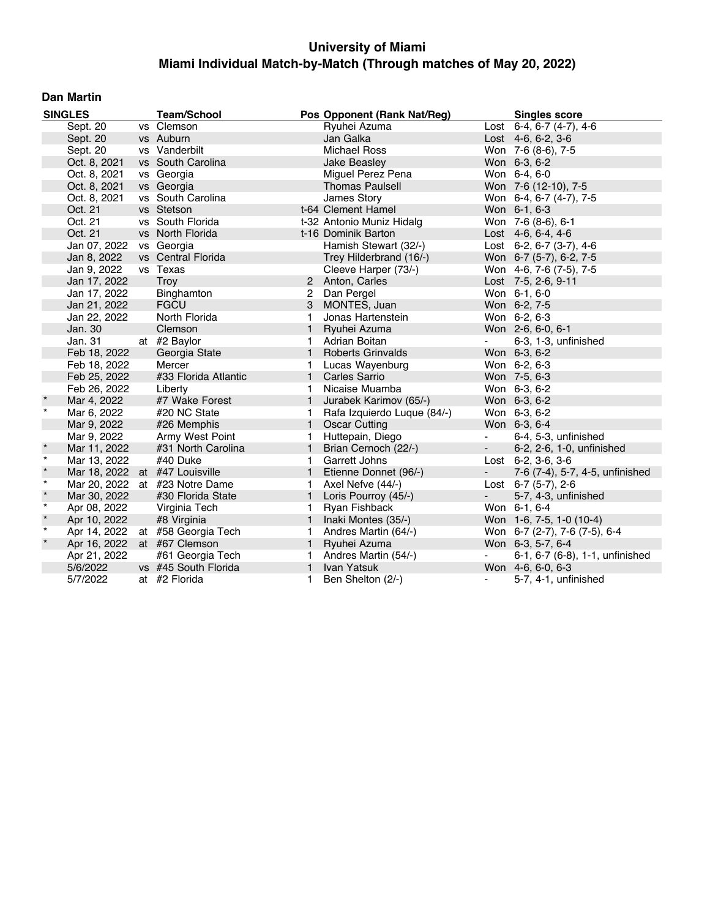### **Dan Martin**

|         | <b>SINGLES</b>                 |  | <b>Team/School</b>             |                | Pos Opponent (Rank Nat/Reg) |                          | <b>Singles score</b>               |
|---------|--------------------------------|--|--------------------------------|----------------|-----------------------------|--------------------------|------------------------------------|
|         | Sept. 20                       |  | vs Clemson                     |                | Ryuhei Azuma                |                          | Lost $6-4, 6-7$ $(4-7), 4-6$       |
|         | Sept. 20                       |  | vs Auburn                      |                | Jan Galka                   |                          | Lost $4-6, 6-2, 3-6$               |
|         | Sept. 20                       |  | vs Vanderbilt                  |                | <b>Michael Ross</b>         |                          | Won 7-6 (8-6), 7-5                 |
|         | Oct. 8, 2021                   |  | vs South Carolina              |                | Jake Beasley                |                          | Won 6-3, 6-2                       |
|         | Oct. 8, 2021                   |  | vs Georgia                     |                | Miguel Perez Pena           |                          | Won 6-4, 6-0                       |
|         | Oct. 8, 2021                   |  | vs Georgia                     |                | <b>Thomas Paulsell</b>      |                          | Won 7-6 (12-10), 7-5               |
|         | Oct. 8, 2021                   |  | vs South Carolina              |                | James Story                 |                          | Won 6-4, 6-7 (4-7), 7-5            |
|         | Oct. 21                        |  | vs Stetson                     |                | t-64 Clement Hamel          |                          | Won 6-1, 6-3                       |
|         | Oct. 21                        |  | vs South Florida               |                | t-32 Antonio Muniz Hidalg   |                          | Won 7-6 (8-6), 6-1                 |
|         | Oct. 21                        |  | vs North Florida               |                | t-16 Dominik Barton         |                          | Lost $4-6, 6-4, 4-6$               |
|         | Jan 07, 2022                   |  | vs Georgia                     |                | Hamish Stewart (32/-)       |                          | Lost $6-2$ , $6-7$ $(3-7)$ , $4-6$ |
|         | Jan 8, 2022                    |  | vs Central Florida             |                | Trey Hilderbrand (16/-)     |                          | Won 6-7 (5-7), 6-2, 7-5            |
|         | Jan 9, 2022                    |  | vs Texas                       |                | Cleeve Harper (73/-)        |                          | Won 4-6, 7-6 (7-5), 7-5            |
|         | Jan 17, 2022                   |  | Troy                           |                | 2 Anton, Carles             |                          | Lost 7-5, 2-6, 9-11                |
|         | Jan 17, 2022                   |  | Binghamton                     | $\overline{2}$ | Dan Pergel                  |                          | Won 6-1, 6-0                       |
|         | Jan 21, 2022                   |  | <b>FGCU</b>                    | 3              | MONTES, Juan                |                          | Won 6-2, 7-5                       |
|         | Jan 22, 2022                   |  | North Florida                  | 1              | Jonas Hartenstein           |                          | Won 6-2, 6-3                       |
|         | Jan. 30                        |  | Clemson                        | $\mathbf{1}$   | Ryuhei Azuma                |                          | Won 2-6, 6-0, 6-1                  |
|         | Jan. 31                        |  | at #2 Baylor                   | 1              | Adrian Boitan               | $\blacksquare$           | 6-3, 1-3, unfinished               |
|         | Feb 18, 2022                   |  | Georgia State                  | $\mathbf{1}$   | <b>Roberts Grinvalds</b>    |                          | Won 6-3, 6-2                       |
|         | Feb 18, 2022                   |  | Mercer                         | 1              | Lucas Wayenburg             |                          | Won 6-2, 6-3                       |
|         | Feb 25, 2022                   |  | #33 Florida Atlantic           | $\mathbf{1}$   | <b>Carles Sarrio</b>        |                          | Won 7-5, 6-3                       |
|         | Feb 26, 2022                   |  | Liberty                        | 1              | Nicaise Muamba              |                          | Won 6-3, 6-2                       |
| $\star$ | Mar 4, 2022                    |  | #7 Wake Forest                 | $\mathbf{1}$   | Jurabek Karimov (65/-)      |                          | Won 6-3, 6-2                       |
| $\star$ | Mar 6, 2022                    |  | #20 NC State                   | 1.             | Rafa Izquierdo Luque (84/-) |                          | Won 6-3, 6-2                       |
|         | Mar 9, 2022                    |  | #26 Memphis                    | $\mathbf{1}$   | <b>Oscar Cutting</b>        |                          | Won 6-3, 6-4                       |
|         | Mar 9, 2022                    |  | Army West Point                | 1.             | Huttepain, Diego            | $\blacksquare$           | 6-4, 5-3, unfinished               |
|         | Mar 11, 2022                   |  | #31 North Carolina             | $\mathbf{1}$   | Brian Cernoch (22/-)        | $\overline{\phantom{a}}$ | 6-2, 2-6, 1-0, unfinished          |
| $\star$ | Mar 13, 2022                   |  | #40 Duke                       | 1.             | <b>Garrett Johns</b>        |                          | Lost 6-2, 3-6, 3-6                 |
| $\star$ | Mar 18, 2022 at #47 Louisville |  |                                | $\mathbf{1}$   | Etienne Donnet (96/-)       | $\sim 100$               | 7-6 (7-4), 5-7, 4-5, unfinished    |
| $\star$ |                                |  | Mar 20, 2022 at #23 Notre Dame | 1              | Axel Nefve (44/-)           |                          | Lost 6-7 (5-7), 2-6                |
| $\star$ | Mar 30, 2022                   |  | #30 Florida State              | $\mathbf{1}$   | Loris Pourroy (45/-)        |                          | 5-7, 4-3, unfinished               |
| $\star$ | Apr 08, 2022                   |  | Virginia Tech                  | 1              | Ryan Fishback               |                          | Won 6-1, 6-4                       |
| $\star$ | Apr 10, 2022                   |  | #8 Virginia                    | $\mathbf{1}$   | Inaki Montes (35/-)         |                          | Won 1-6, 7-5, 1-0 (10-4)           |
| $\star$ | Apr 14, 2022                   |  | at #58 Georgia Tech            | 1.             | Andres Martin (64/-)        |                          | Won 6-7 (2-7), 7-6 (7-5), 6-4      |
| $\star$ | Apr 16, 2022                   |  | at #67 Clemson                 | $\mathbf{1}$   | Ryuhei Azuma                |                          | Won 6-3, 5-7, 6-4                  |
|         | Apr 21, 2022                   |  | #61 Georgia Tech               | 1              | Andres Martin (54/-)        | $\blacksquare$           | 6-1, 6-7 (6-8), 1-1, unfinished    |
|         | 5/6/2022                       |  | vs #45 South Florida           | $\mathbf{1}$   | Ivan Yatsuk                 |                          | Won 4-6, 6-0, 6-3                  |
|         | 5/7/2022                       |  | at #2 Florida                  | 1.             | Ben Shelton (2/-)           | $\blacksquare$           | 5-7, 4-1, unfinished               |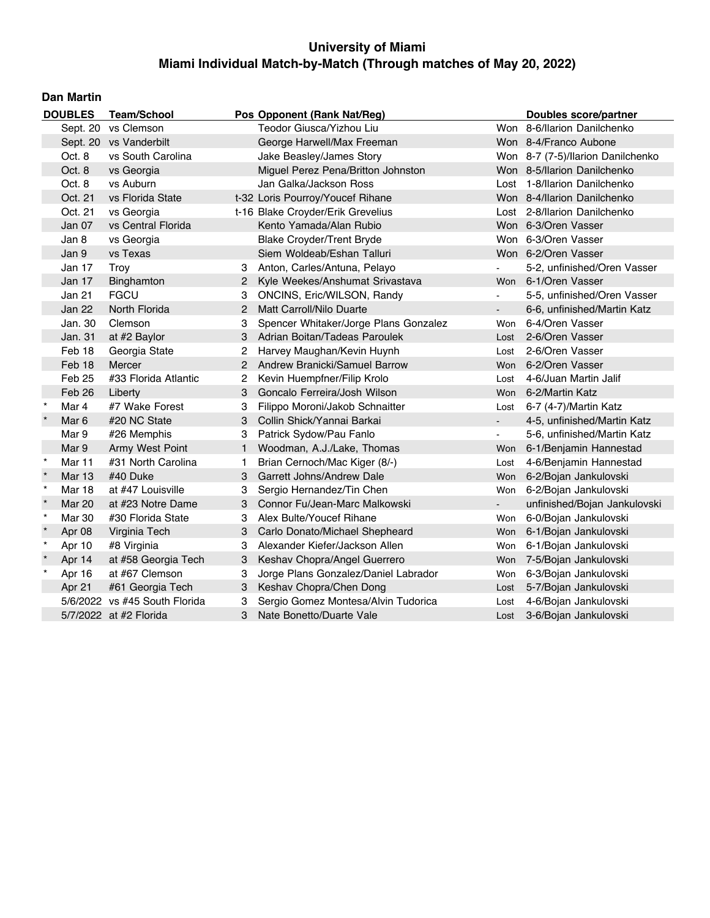### **Dan Martin**

| <b>DOUBLES</b> |               | <b>Team/School</b>            |              | Pos Opponent (Rank Nat/Reg)           | <b>Doubles score/partner</b> |                                   |
|----------------|---------------|-------------------------------|--------------|---------------------------------------|------------------------------|-----------------------------------|
|                | Sept. 20      | vs Clemson                    |              | Teodor Giusca/Yizhou Liu              |                              | Won 8-6/llarion Danilchenko       |
|                |               | Sept. 20 vs Vanderbilt        |              | George Harwell/Max Freeman            |                              | Won 8-4/Franco Aubone             |
|                | Oct. 8        | vs South Carolina             |              | Jake Beasley/James Story              |                              | Won 8-7 (7-5)/llarion Danilchenko |
|                | Oct. 8        | vs Georgia                    |              | Miguel Perez Pena/Britton Johnston    |                              | Won 8-5/llarion Danilchenko       |
|                | Oct. 8        | vs Auburn                     |              | Jan Galka/Jackson Ross                |                              | Lost 1-8/llarion Danilchenko      |
|                | Oct. 21       | vs Florida State              |              | t-32 Loris Pourroy/Youcef Rihane      |                              | Won 8-4/Ilarion Danilchenko       |
|                | Oct. 21       | vs Georgia                    |              | t-16 Blake Croyder/Erik Grevelius     |                              | Lost 2-8/llarion Danilchenko      |
|                | Jan 07        | vs Central Florida            |              | Kento Yamada/Alan Rubio               |                              | Won 6-3/Oren Vasser               |
|                | Jan 8         | vs Georgia                    |              | <b>Blake Croyder/Trent Bryde</b>      |                              | Won 6-3/Oren Vasser               |
|                | Jan 9         | vs Texas                      |              | Siem Woldeab/Eshan Talluri            |                              | Won 6-2/Oren Vasser               |
|                | Jan 17        | Troy                          | 3            | Anton, Carles/Antuna, Pelayo          |                              | 5-2, unfinished/Oren Vasser       |
|                | Jan 17        | Binghamton                    | 2            | Kyle Weekes/Anshumat Srivastava       | Won                          | 6-1/Oren Vasser                   |
|                | Jan 21        | <b>FGCU</b>                   | 3            | ONCINS, Eric/WILSON, Randy            | $\blacksquare$               | 5-5, unfinished/Oren Vasser       |
|                | Jan 22        | North Florida                 | 2            | Matt Carroll/Nilo Duarte              |                              | 6-6, unfinished/Martin Katz       |
|                | Jan. 30       | Clemson                       | 3            | Spencer Whitaker/Jorge Plans Gonzalez | Won                          | 6-4/Oren Vasser                   |
|                | Jan. 31       | at #2 Baylor                  | 3            | Adrian Boitan/Tadeas Paroulek         | Lost                         | 2-6/Oren Vasser                   |
|                | Feb 18        | Georgia State                 | 2            | Harvey Maughan/Kevin Huynh            | Lost                         | 2-6/Oren Vasser                   |
|                | Feb 18        | Mercer                        | 2            | Andrew Branicki/Samuel Barrow         | Won                          | 6-2/Oren Vasser                   |
|                | Feb 25        | #33 Florida Atlantic          | 2            | Kevin Huempfner/Filip Krolo           | Lost                         | 4-6/Juan Martin Jalif             |
|                | Feb 26        | Liberty                       | 3            | Goncalo Ferreira/Josh Wilson          | Won                          | 6-2/Martin Katz                   |
| $\star$        | Mar 4         | #7 Wake Forest                | 3            | Filippo Moroni/Jakob Schnaitter       | Lost                         | 6-7 (4-7)/Martin Katz             |
| $\star$        | Mar 6         | #20 NC State                  | 3            | Collin Shick/Yannai Barkai            | $\blacksquare$               | 4-5, unfinished/Martin Katz       |
|                | Mar 9         | #26 Memphis                   | 3            | Patrick Sydow/Pau Fanlo               |                              | 5-6, unfinished/Martin Katz       |
|                | Mar 9         | Army West Point               | $\mathbf{1}$ | Woodman, A.J./Lake, Thomas            | Won                          | 6-1/Benjamin Hannestad            |
| $\star$        | Mar 11        | #31 North Carolina            | 1.           | Brian Cernoch/Mac Kiger (8/-)         | Lost                         | 4-6/Benjamin Hannestad            |
|                | <b>Mar 13</b> | #40 Duke                      | 3            | <b>Garrett Johns/Andrew Dale</b>      | Won                          | 6-2/Bojan Jankulovski             |
| $\star$        | Mar 18        | at #47 Louisville             | 3            | Sergio Hernandez/Tin Chen             | Won                          | 6-2/Bojan Jankulovski             |
|                | <b>Mar 20</b> | at #23 Notre Dame             | 3            | Connor Fu/Jean-Marc Malkowski         | $\blacksquare$               | unfinished/Bojan Jankulovski      |
| $\star$        | <b>Mar 30</b> | #30 Florida State             | 3            | Alex Bulte/Youcef Rihane              | Won                          | 6-0/Bojan Jankulovski             |
|                | Apr 08        | Virginia Tech                 | 3            | Carlo Donato/Michael Shepheard        |                              | Won 6-1/Bojan Jankulovski         |
| $\star$        | Apr 10        | #8 Virginia                   | 3            | Alexander Kiefer/Jackson Allen        | Won                          | 6-1/Bojan Jankulovski             |
|                | Apr 14        | at #58 Georgia Tech           | 3            | Keshav Chopra/Angel Guerrero          |                              | Won 7-5/Bojan Jankulovski         |
| $\star$        | Apr 16        | at #67 Clemson                | 3            | Jorge Plans Gonzalez/Daniel Labrador  | Won                          | 6-3/Bojan Jankulovski             |
|                | Apr 21        | #61 Georgia Tech              | 3            | Keshav Chopra/Chen Dong               | Lost                         | 5-7/Bojan Jankulovski             |
|                |               | 5/6/2022 vs #45 South Florida | 3            | Sergio Gomez Montesa/Alvin Tudorica   | Lost                         | 4-6/Bojan Jankulovski             |
|                |               | 5/7/2022 at #2 Florida        | 3            | Nate Bonetto/Duarte Vale              | Lost                         | 3-6/Bojan Jankulovski             |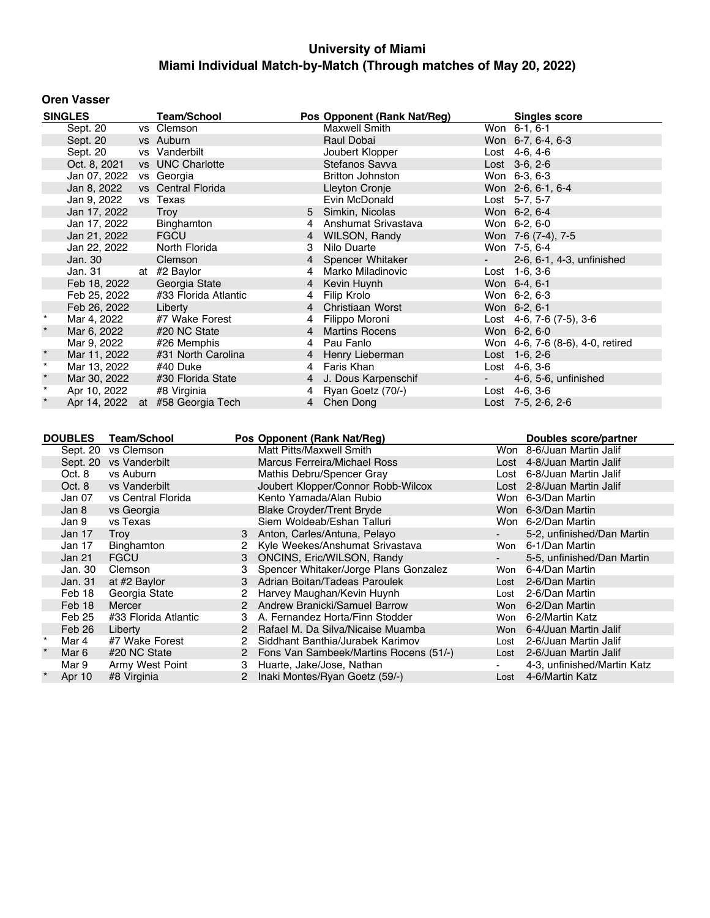### **Oren Vasser**

|         | <b>SINGLES</b>                       | <b>Team/School</b>               |                             | Pos Opponent (Rank Nat/Reg)         |          | <b>Singles score</b>               |
|---------|--------------------------------------|----------------------------------|-----------------------------|-------------------------------------|----------|------------------------------------|
|         | Sept. 20                             | vs Clemson                       |                             | Maxwell Smith                       |          | Won 6-1, 6-1                       |
|         | Sept. 20                             | vs Auburn                        |                             | Raul Dobai                          |          | Won 6-7, 6-4, 6-3                  |
|         | Sept. 20                             | vs Vanderbilt                    |                             | Joubert Klopper                     |          | Lost 4-6, 4-6                      |
|         | Oct. 8, 2021                         | vs UNC Charlotte                 |                             | Stefanos Savva                      |          | Lost 3-6, 2-6                      |
|         | Jan 07, 2022                         | vs Georgia                       |                             | <b>Britton Johnston</b>             |          | Won 6-3, 6-3                       |
|         | Jan 8, 2022                          | vs Central Florida               |                             | Lleyton Cronje                      |          | Won 2-6, 6-1, 6-4                  |
|         | Jan 9, 2022                          | vs Texas                         |                             | Evin McDonald                       |          | Lost 5-7, 5-7                      |
|         | Jan 17, 2022                         | Troy                             | $5^{\circ}$                 | Simkin, Nicolas                     |          | Won 6-2, 6-4                       |
|         | Jan 17, 2022                         | Binghamton                       | 4                           | Anshumat Srivastava                 |          | Won 6-2, 6-0                       |
|         | Jan 21, 2022                         | <b>FGCU</b>                      | $\overline{4}$              | WILSON, Randy                       |          | Won 7-6 (7-4), 7-5                 |
|         | Jan 22, 2022                         | North Florida                    | 3                           | Nilo Duarte                         |          | Won 7-5, 6-4                       |
|         | Jan. 30                              | Clemson                          | 4                           | Spencer Whitaker                    |          | 2-6, 6-1, 4-3, unfinished          |
|         | Jan. 31                              | at #2 Baylor                     | 4                           | Marko Miladinovic                   |          | Lost 1-6, 3-6                      |
|         | Feb 18, 2022                         | Georgia State                    | $\overline{4}$              | Kevin Huynh                         |          | Won 6-4, 6-1                       |
|         | Feb 25, 2022                         | #33 Florida Atlantic             | 4                           | Filip Krolo                         |          | Won 6-2, 6-3                       |
|         | Feb 26, 2022                         | Liberty                          | $\overline{4}$              | Christiaan Worst                    |          | Won 6-2, 6-1                       |
| $\star$ | Mar 4, 2022                          | #7 Wake Forest                   | 4                           | Filippo Moroni                      |          | Lost $4-6$ , $7-6$ $(7-5)$ , $3-6$ |
|         | Mar 6, 2022                          | #20 NC State                     | $\overline{4}$              | <b>Martins Rocens</b>               |          | Won 6-2, 6-0                       |
|         | Mar 9, 2022                          | #26 Memphis                      | 4                           | Pau Fanlo                           |          | Won 4-6, 7-6 (8-6), 4-0, retired   |
| $\star$ | Mar 11, 2022                         | #31 North Carolina               | $\overline{4}$              | Henry Lieberman                     |          | Lost 1-6, 2-6                      |
| $\star$ | Mar 13, 2022                         | #40 Duke                         | 4                           | Faris Khan                          |          | Lost 4-6, 3-6                      |
| $\star$ | Mar 30, 2022                         | #30 Florida State                | 4                           | J. Dous Karpenschif                 |          | 4-6, 5-6, unfinished               |
| $\star$ | Apr 10, 2022                         | #8 Virginia                      | 4                           | Ryan Goetz (70/-)                   |          | Lost 4-6, 3-6                      |
|         |                                      | Apr 14, 2022 at #58 Georgia Tech |                             | 4 Chen Dong                         |          | Lost 7-5, 2-6, 2-6                 |
|         |                                      |                                  |                             |                                     |          |                                    |
|         |                                      |                                  |                             |                                     |          |                                    |
|         | <b>DOUBLES</b><br><b>Team/School</b> |                                  | Pos Opponent (Rank Nat/Reg) |                                     |          | Doubles score/partner              |
|         | Sept. 20 vs Clemson                  |                                  | Matt Pitts/Maxwell Smith    |                                     |          | Won 8-6/Juan Martin Jalif          |
|         | Sept. 20 vs Vanderbilt               |                                  |                             | <b>Marcus Ferreira/Michael Ross</b> |          | Lost 4-8/Juan Martin Jalif         |
|         | Oct. 8<br>vs Auburn                  |                                  |                             | Mathis Debru/Spencer Gray           |          | Lost 6-8/Juan Martin Jalif         |
|         | Oct. 8<br>vs Vanderbilt              |                                  |                             | Joubert Klopper/Connor Robb-Wilcox  |          | Lost 2-8/Juan Martin Jalif         |
|         |                                      |                                  |                             |                                     | $\cdots$ |                                    |

|         | Oct. 8  | vs Vanderbilt        |   | Joubert Klopper/Connor Robb-Wilcox       |                | Lost 2-8/Juan Martin Jalif  |
|---------|---------|----------------------|---|------------------------------------------|----------------|-----------------------------|
|         | Jan 07  | vs Central Florida   |   | Kento Yamada/Alan Rubio                  |                | Won 6-3/Dan Martin          |
|         | Jan 8   | vs Georgia           |   | <b>Blake Croyder/Trent Bryde</b>         |                | Won 6-3/Dan Martin          |
|         | Jan 9   | vs Texas             |   | Siem Woldeab/Eshan Talluri               |                | Won 6-2/Dan Martin          |
|         | Jan 17  | Troy                 |   | 3 Anton, Carles/Antuna, Pelayo           | $\blacksquare$ | 5-2, unfinished/Dan Martin  |
|         | Jan 17  | Binghamton           |   | 2 Kyle Weekes/Anshumat Srivastava        | Won            | 6-1/Dan Martin              |
|         | Jan 21  | <b>FGCU</b>          |   | 3 ONCINS, Eric/WILSON, Randy             | $\sim 100$     | 5-5, unfinished/Dan Martin  |
|         | Jan. 30 | Clemson              |   | Spencer Whitaker/Jorge Plans Gonzalez    | Won            | 6-4/Dan Martin              |
|         | Jan. 31 | at #2 Baylor         |   | 3 Adrian Boitan/Tadeas Paroulek          | Lost           | 2-6/Dan Martin              |
|         | Feb 18  | Georgia State        |   | 2 Harvey Maughan/Kevin Huynh             | Lost           | 2-6/Dan Martin              |
|         | Feb 18  | Mercer               |   | 2 Andrew Branicki/Samuel Barrow          | Won            | 6-2/Dan Martin              |
|         | Feb 25  | #33 Florida Atlantic |   | 3 A. Fernandez Horta/Finn Stodder        |                | Won 6-2/Martin Katz         |
|         | Feb 26  | Liberty              |   | 2 Rafael M. Da Silva/Nicaise Muamba      |                | Won 6-4/Juan Martin Jalif   |
| $\star$ | Mar 4   | #7 Wake Forest       |   | Siddhant Banthia/Jurabek Karimov         | Lost           | 2-6/Juan Martin Jalif       |
| $\star$ | Mar 6   | #20 NC State         |   | 2 Fons Van Sambeek/Martins Rocens (51/-) | Lost           | 2-6/Juan Martin Jalif       |
|         | Mar 9   | Army West Point      | 3 | Huarte, Jake/Jose, Nathan                | $\sim$         | 4-3, unfinished/Martin Katz |
| $\star$ | Apr 10  | #8 Virginia          |   | 2 Inaki Montes/Ryan Goetz (59/-)         | Lost           | 4-6/Martin Katz             |
|         |         |                      |   |                                          |                |                             |